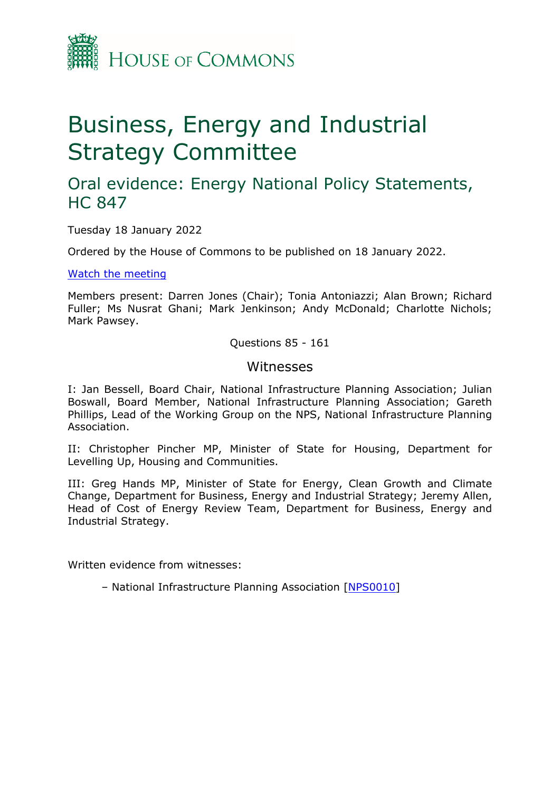

# Business, Energy and Industrial Strategy Committee

# Oral evidence: Energy National Policy Statements, HC 847

Tuesday 18 January 2022

Ordered by the House of Commons to be published on 18 January 2022.

[Watch](https://parliamentlive.tv/event/index/5c294d4b-2e53-4650-b0a8-9d0364dae3a8) [the](https://parliamentlive.tv/event/index/5c294d4b-2e53-4650-b0a8-9d0364dae3a8) [meeting](https://parliamentlive.tv/event/index/5c294d4b-2e53-4650-b0a8-9d0364dae3a8)

Members present: Darren Jones (Chair); Tonia Antoniazzi; Alan Brown; Richard Fuller; Ms Nusrat Ghani; Mark Jenkinson; Andy McDonald; Charlotte Nichols; Mark Pawsey.

Questions 85 - 161

#### **Witnesses**

I: Jan Bessell, Board Chair, National Infrastructure Planning Association; Julian Boswall, Board Member, National Infrastructure Planning Association; Gareth Phillips, Lead of the Working Group on the NPS, National Infrastructure Planning Association.

II: Christopher Pincher MP, Minister of State for Housing, Department for Levelling Up, Housing and Communities.

III: Greg Hands MP, Minister of State for Energy, Clean Growth and Climate Change, Department for Business, Energy and Industrial Strategy; Jeremy Allen, Head of Cost of Energy Review Team, Department for Business, Energy and Industrial Strategy.

Written evidence from witnesses:

– National Infrastructure Planning Association [[NPS0010\]](https://committees.parliament.uk/writtenevidence/41174/pdf/)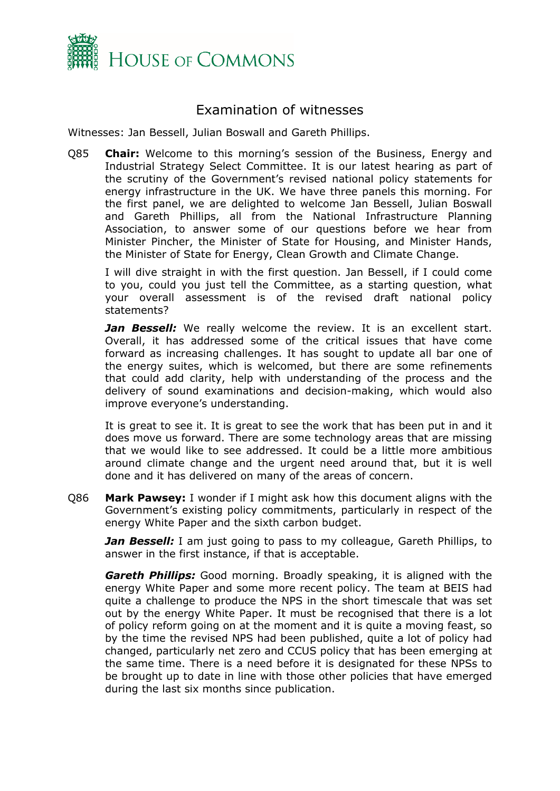

## Examination of witnesses

Witnesses: Jan Bessell, Julian Boswall and Gareth Phillips.

Q85 **Chair:** Welcome to this morning's session of the Business, Energy and Industrial Strategy Select Committee. It is our latest hearing as part of the scrutiny of the Government's revised national policy statements for energy infrastructure in the UK. We have three panels this morning. For the first panel, we are delighted to welcome Jan Bessell, Julian Boswall and Gareth Phillips, all from the National Infrastructure Planning Association, to answer some of our questions before we hear from Minister Pincher, the Minister of State for Housing, and Minister Hands, the Minister of State for Energy, Clean Growth and Climate Change.

I will dive straight in with the first question. Jan Bessell, if I could come to you, could you just tell the Committee, as a starting question, what your overall assessment is of the revised draft national policy statements?

**Jan Bessell:** We really welcome the review. It is an excellent start. Overall, it has addressed some of the critical issues that have come forward as increasing challenges. It has sought to update all bar one of the energy suites, which is welcomed, but there are some refinements that could add clarity, help with understanding of the process and the delivery of sound examinations and decision-making, which would also improve everyone's understanding.

It is great to see it. It is great to see the work that has been put in and it does move us forward. There are some technology areas that are missing that we would like to see addressed. It could be a little more ambitious around climate change and the urgent need around that, but it is well done and it has delivered on many of the areas of concern.

Q86 **Mark Pawsey:** I wonder if I might ask how this document aligns with the Government's existing policy commitments, particularly in respect of the energy White Paper and the sixth carbon budget.

*Jan Bessell:* I am just going to pass to my colleague, Gareth Phillips, to answer in the first instance, if that is acceptable.

*Gareth Phillips:* Good morning. Broadly speaking, it is aligned with the energy White Paper and some more recent policy. The team at BEIS had quite a challenge to produce the NPS in the short timescale that was set out by the energy White Paper. It must be recognised that there is a lot of policy reform going on at the moment and it is quite a moving feast, so by the time the revised NPS had been published, quite a lot of policy had changed, particularly net zero and CCUS policy that has been emerging at the same time. There is a need before it is designated for these NPSs to be brought up to date in line with those other policies that have emerged during the last six months since publication.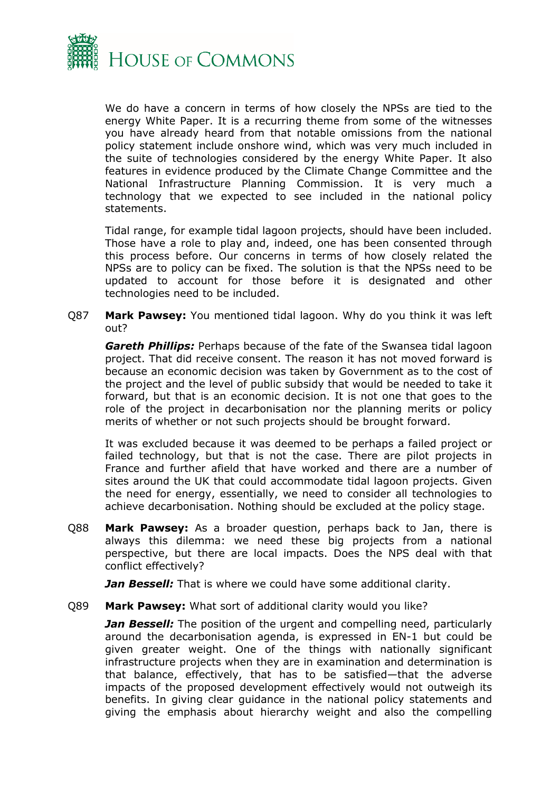

We do have a concern in terms of how closely the NPSs are tied to the energy White Paper. It is a recurring theme from some of the witnesses you have already heard from that notable omissions from the national policy statement include onshore wind, which was very much included in the suite of technologies considered by the energy White Paper. It also features in evidence produced by the Climate Change Committee and the National Infrastructure Planning Commission. It is very much a technology that we expected to see included in the national policy statements.

Tidal range, for example tidal lagoon projects, should have been included. Those have a role to play and, indeed, one has been consented through this process before. Our concerns in terms of how closely related the NPSs are to policy can be fixed. The solution is that the NPSs need to be updated to account for those before it is designated and other technologies need to be included.

Q87 **Mark Pawsey:** You mentioned tidal lagoon. Why do you think it was left out?

*Gareth Phillips:* Perhaps because of the fate of the Swansea tidal lagoon project. That did receive consent. The reason it has not moved forward is because an economic decision was taken by Government as to the cost of the project and the level of public subsidy that would be needed to take it forward, but that is an economic decision. It is not one that goes to the role of the project in decarbonisation nor the planning merits or policy merits of whether or not such projects should be brought forward.

It was excluded because it was deemed to be perhaps a failed project or failed technology, but that is not the case. There are pilot projects in France and further afield that have worked and there are a number of sites around the UK that could accommodate tidal lagoon projects. Given the need for energy, essentially, we need to consider all technologies to achieve decarbonisation. Nothing should be excluded at the policy stage.

Q88 **Mark Pawsey:** As a broader question, perhaps back to Jan, there is always this dilemma: we need these big projects from a national perspective, but there are local impacts. Does the NPS deal with that conflict effectively?

*Jan Bessell:* That is where we could have some additional clarity.

Q89 **Mark Pawsey:** What sort of additional clarity would you like?

*Jan Bessell:* The position of the urgent and compelling need, particularly around the decarbonisation agenda, is expressed in EN-1 but could be given greater weight. One of the things with nationally significant infrastructure projects when they are in examination and determination is that balance, effectively, that has to be satisfied—that the adverse impacts of the proposed development effectively would not outweigh its benefits. In giving clear guidance in the national policy statements and giving the emphasis about hierarchy weight and also the compelling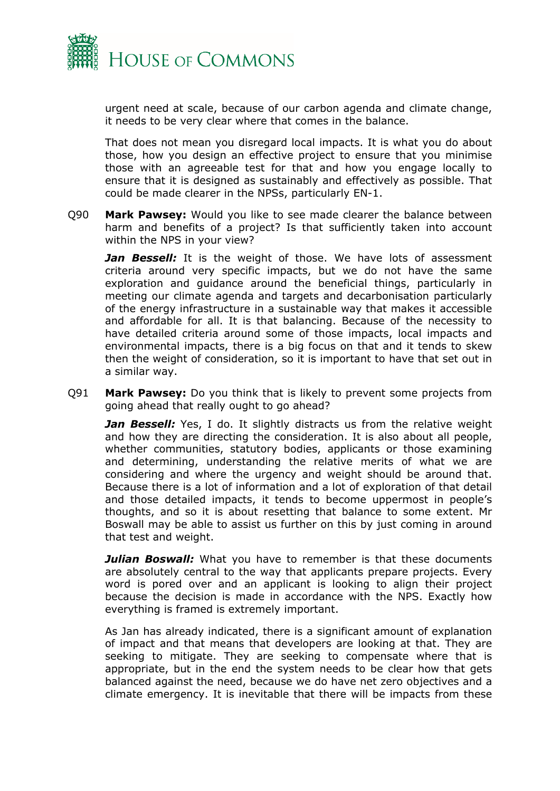

urgent need at scale, because of our carbon agenda and climate change, it needs to be very clear where that comes in the balance.

That does not mean you disregard local impacts. It is what you do about those, how you design an effective project to ensure that you minimise those with an agreeable test for that and how you engage locally to ensure that it is designed as sustainably and effectively as possible. That could be made clearer in the NPSs, particularly EN-1.

Q90 **Mark Pawsey:** Would you like to see made clearer the balance between harm and benefits of a project? Is that sufficiently taken into account within the NPS in your view?

**Jan Bessell:** It is the weight of those. We have lots of assessment criteria around very specific impacts, but we do not have the same exploration and guidance around the beneficial things, particularly in meeting our climate agenda and targets and decarbonisation particularly of the energy infrastructure in a sustainable way that makes it accessible and affordable for all. It is that balancing. Because of the necessity to have detailed criteria around some of those impacts, local impacts and environmental impacts, there is a big focus on that and it tends to skew then the weight of consideration, so it is important to have that set out in a similar way.

Q91 **Mark Pawsey:** Do you think that is likely to prevent some projects from going ahead that really ought to go ahead?

*Jan Bessell:* Yes, I do. It slightly distracts us from the relative weight and how they are directing the consideration. It is also about all people, whether communities, statutory bodies, applicants or those examining and determining, understanding the relative merits of what we are considering and where the urgency and weight should be around that. Because there is a lot of information and a lot of exploration of that detail and those detailed impacts, it tends to become uppermost in people's thoughts, and so it is about resetting that balance to some extent. Mr Boswall may be able to assist us further on this by just coming in around that test and weight.

**Julian Boswall:** What you have to remember is that these documents are absolutely central to the way that applicants prepare projects. Every word is pored over and an applicant is looking to align their project because the decision is made in accordance with the NPS. Exactly how everything is framed is extremely important.

As Jan has already indicated, there is a significant amount of explanation of impact and that means that developers are looking at that. They are seeking to mitigate. They are seeking to compensate where that is appropriate, but in the end the system needs to be clear how that gets balanced against the need, because we do have net zero objectives and a climate emergency. It is inevitable that there will be impacts from these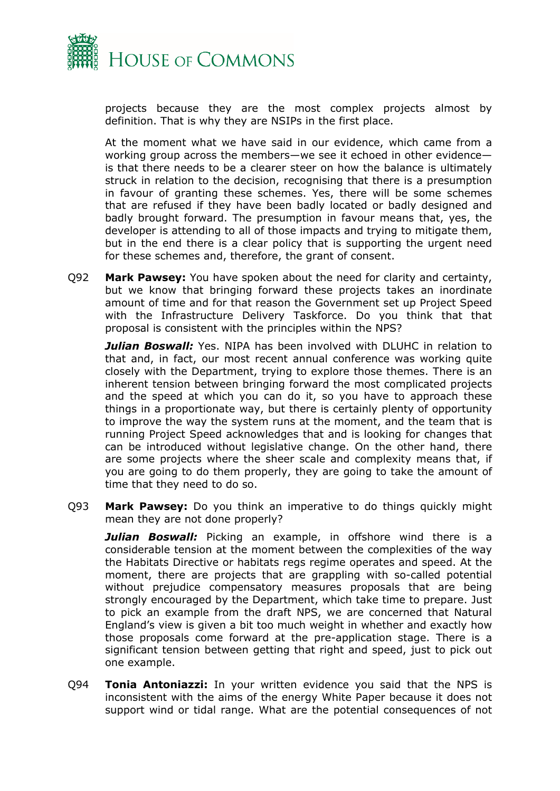

projects because they are the most complex projects almost by definition. That is why they are NSIPs in the first place.

At the moment what we have said in our evidence, which came from a working group across the members—we see it echoed in other evidence is that there needs to be a clearer steer on how the balance is ultimately struck in relation to the decision, recognising that there is a presumption in favour of granting these schemes. Yes, there will be some schemes that are refused if they have been badly located or badly designed and badly brought forward. The presumption in favour means that, yes, the developer is attending to all of those impacts and trying to mitigate them, but in the end there is a clear policy that is supporting the urgent need for these schemes and, therefore, the grant of consent.

Q92 **Mark Pawsey:** You have spoken about the need for clarity and certainty, but we know that bringing forward these projects takes an inordinate amount of time and for that reason the Government set up Project Speed with the Infrastructure Delivery Taskforce. Do you think that that proposal is consistent with the principles within the NPS?

*Julian Boswall:* Yes. NIPA has been involved with DLUHC in relation to that and, in fact, our most recent annual conference was working quite closely with the Department, trying to explore those themes. There is an inherent tension between bringing forward the most complicated projects and the speed at which you can do it, so you have to approach these things in a proportionate way, but there is certainly plenty of opportunity to improve the way the system runs at the moment, and the team that is running Project Speed acknowledges that and is looking for changes that can be introduced without legislative change. On the other hand, there are some projects where the sheer scale and complexity means that, if you are going to do them properly, they are going to take the amount of time that they need to do so.

Q93 **Mark Pawsey:** Do you think an imperative to do things quickly might mean they are not done properly?

*Julian Boswall:* Picking an example, in offshore wind there is a considerable tension at the moment between the complexities of the way the Habitats Directive or habitats regs regime operates and speed. At the moment, there are projects that are grappling with so-called potential without prejudice compensatory measures proposals that are being strongly encouraged by the Department, which take time to prepare. Just to pick an example from the draft NPS, we are concerned that Natural England's view is given a bit too much weight in whether and exactly how those proposals come forward at the pre-application stage. There is a significant tension between getting that right and speed, just to pick out one example.

Q94 **Tonia Antoniazzi:** In your written evidence you said that the NPS is inconsistent with the aims of the energy White Paper because it does not support wind or tidal range. What are the potential consequences of not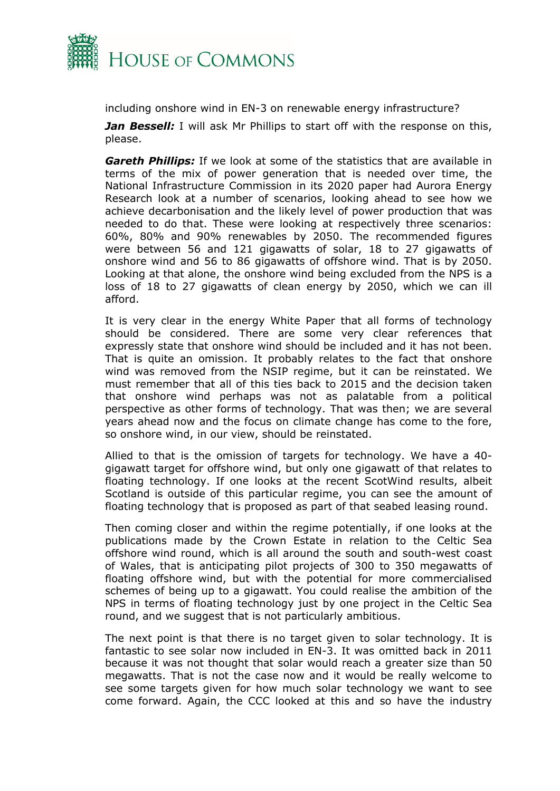

including onshore wind in EN-3 on renewable energy infrastructure?

*Jan Bessell:* I will ask Mr Phillips to start off with the response on this, please.

*Gareth Phillips:* If we look at some of the statistics that are available in terms of the mix of power generation that is needed over time, the National Infrastructure Commission in its 2020 paper had Aurora Energy Research look at a number of scenarios, looking ahead to see how we achieve decarbonisation and the likely level of power production that was needed to do that. These were looking at respectively three scenarios: 60%, 80% and 90% renewables by 2050. The recommended figures were between 56 and 121 gigawatts of solar, 18 to 27 gigawatts of onshore wind and 56 to 86 gigawatts of offshore wind. That is by 2050. Looking at that alone, the onshore wind being excluded from the NPS is a loss of 18 to 27 gigawatts of clean energy by 2050, which we can ill afford.

It is very clear in the energy White Paper that all forms of technology should be considered. There are some very clear references that expressly state that onshore wind should be included and it has not been. That is quite an omission. It probably relates to the fact that onshore wind was removed from the NSIP regime, but it can be reinstated. We must remember that all of this ties back to 2015 and the decision taken that onshore wind perhaps was not as palatable from a political perspective as other forms of technology. That was then; we are several years ahead now and the focus on climate change has come to the fore, so onshore wind, in our view, should be reinstated.

Allied to that is the omission of targets for technology. We have a 40 gigawatt target for offshore wind, but only one gigawatt of that relates to floating technology. If one looks at the recent ScotWind results, albeit Scotland is outside of this particular regime, you can see the amount of floating technology that is proposed as part of that seabed leasing round.

Then coming closer and within the regime potentially, if one looks at the publications made by the Crown Estate in relation to the Celtic Sea offshore wind round, which is all around the south and south-west coast of Wales, that is anticipating pilot projects of 300 to 350 megawatts of floating offshore wind, but with the potential for more commercialised schemes of being up to a gigawatt. You could realise the ambition of the NPS in terms of floating technology just by one project in the Celtic Sea round, and we suggest that is not particularly ambitious.

The next point is that there is no target given to solar technology. It is fantastic to see solar now included in EN-3. It was omitted back in 2011 because it was not thought that solar would reach a greater size than 50 megawatts. That is not the case now and it would be really welcome to see some targets given for how much solar technology we want to see come forward. Again, the CCC looked at this and so have the industry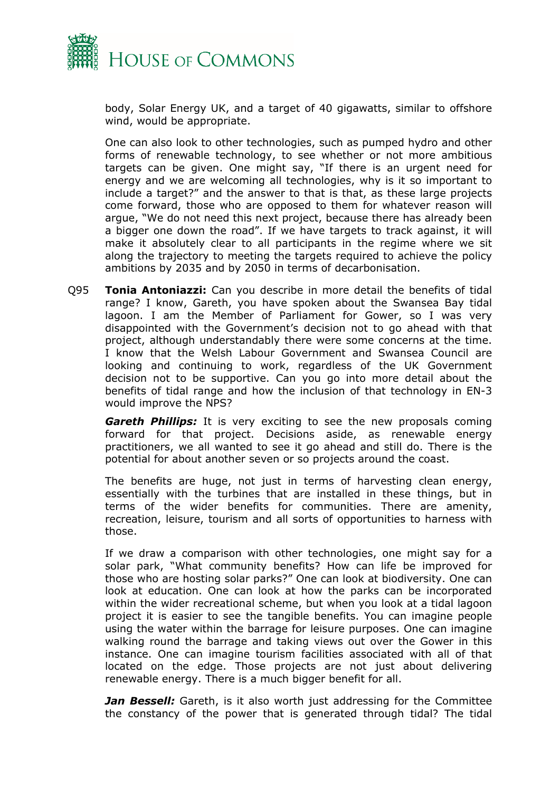

body, Solar Energy UK, and a target of 40 gigawatts, similar to offshore wind, would be appropriate.

One can also look to other technologies, such as pumped hydro and other forms of renewable technology, to see whether or not more ambitious targets can be given. One might say, "If there is an urgent need for energy and we are welcoming all technologies, why is it so important to include a target?" and the answer to that is that, as these large projects come forward, those who are opposed to them for whatever reason will argue, "We do not need this next project, because there has already been a bigger one down the road". If we have targets to track against, it will make it absolutely clear to all participants in the regime where we sit along the trajectory to meeting the targets required to achieve the policy ambitions by 2035 and by 2050 in terms of decarbonisation.

Q95 **Tonia Antoniazzi:** Can you describe in more detail the benefits of tidal range? I know, Gareth, you have spoken about the Swansea Bay tidal lagoon. I am the Member of Parliament for Gower, so I was very disappointed with the Government's decision not to go ahead with that project, although understandably there were some concerns at the time. I know that the Welsh Labour Government and Swansea Council are looking and continuing to work, regardless of the UK Government decision not to be supportive. Can you go into more detail about the benefits of tidal range and how the inclusion of that technology in EN-3 would improve the NPS?

*Gareth Phillips:* It is very exciting to see the new proposals coming forward for that project. Decisions aside, as renewable energy practitioners, we all wanted to see it go ahead and still do. There is the potential for about another seven or so projects around the coast.

The benefits are huge, not just in terms of harvesting clean energy, essentially with the turbines that are installed in these things, but in terms of the wider benefits for communities. There are amenity, recreation, leisure, tourism and all sorts of opportunities to harness with those.

If we draw a comparison with other technologies, one might say for a solar park, "What community benefits? How can life be improved for those who are hosting solar parks?" One can look at biodiversity. One can look at education. One can look at how the parks can be incorporated within the wider recreational scheme, but when you look at a tidal lagoon project it is easier to see the tangible benefits. You can imagine people using the water within the barrage for leisure purposes. One can imagine walking round the barrage and taking views out over the Gower in this instance. One can imagine tourism facilities associated with all of that located on the edge. Those projects are not just about delivering renewable energy. There is a much bigger benefit for all.

*Jan Bessell:* Gareth, is it also worth just addressing for the Committee the constancy of the power that is generated through tidal? The tidal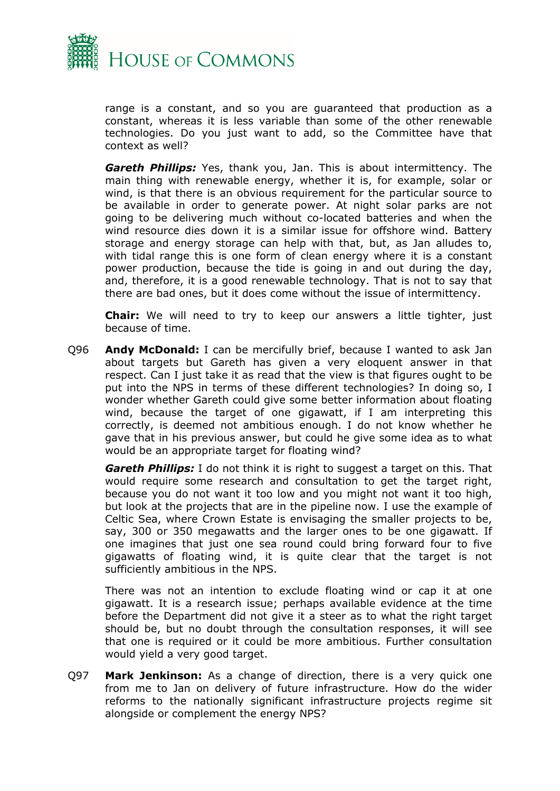

range is a constant, and so you are guaranteed that production as a constant, whereas it is less variable than some of the other renewable technologies. Do you just want to add, so the Committee have that context as well?

*Gareth Phillips:* Yes, thank you, Jan. This is about intermittency. The main thing with renewable energy, whether it is, for example, solar or wind, is that there is an obvious requirement for the particular source to be available in order to generate power. At night solar parks are not going to be delivering much without co-located batteries and when the wind resource dies down it is a similar issue for offshore wind. Battery storage and energy storage can help with that, but, as Jan alludes to, with tidal range this is one form of clean energy where it is a constant power production, because the tide is going in and out during the day, and, therefore, it is a good renewable technology. That is not to say that there are bad ones, but it does come without the issue of intermittency.

**Chair:** We will need to try to keep our answers a little tighter, just because of time.

Q96 **Andy McDonald:** I can be mercifully brief, because I wanted to ask Jan about targets but Gareth has given a very eloquent answer in that respect. Can I just take it as read that the view is that figures ought to be put into the NPS in terms of these different technologies? In doing so, I wonder whether Gareth could give some better information about floating wind, because the target of one gigawatt, if I am interpreting this correctly, is deemed not ambitious enough. I do not know whether he gave that in his previous answer, but could he give some idea as to what would be an appropriate target for floating wind?

*Gareth Phillips:* I do not think it is right to suggest a target on this. That would require some research and consultation to get the target right, because you do not want it too low and you might not want it too high, but look at the projects that are in the pipeline now. I use the example of Celtic Sea, where Crown Estate is envisaging the smaller projects to be, say, 300 or 350 megawatts and the larger ones to be one gigawatt. If one imagines that just one sea round could bring forward four to five gigawatts of floating wind, it is quite clear that the target is not sufficiently ambitious in the NPS.

There was not an intention to exclude floating wind or cap it at one gigawatt. It is a research issue; perhaps available evidence at the time before the Department did not give it a steer as to what the right target should be, but no doubt through the consultation responses, it will see that one is required or it could be more ambitious. Further consultation would yield a very good target.

Q97 **Mark Jenkinson:** As a change of direction, there is a very quick one from me to Jan on delivery of future infrastructure. How do the wider reforms to the nationally significant infrastructure projects regime sit alongside or complement the energy NPS?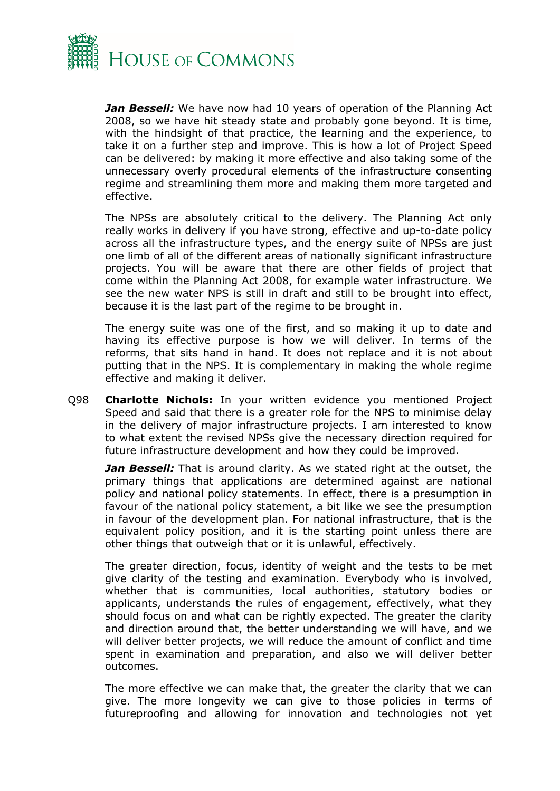

*Jan Bessell:* We have now had 10 years of operation of the Planning Act 2008, so we have hit steady state and probably gone beyond. It is time, with the hindsight of that practice, the learning and the experience, to take it on a further step and improve. This is how a lot of Project Speed can be delivered: by making it more effective and also taking some of the unnecessary overly procedural elements of the infrastructure consenting regime and streamlining them more and making them more targeted and effective.

The NPSs are absolutely critical to the delivery. The Planning Act only really works in delivery if you have strong, effective and up-to-date policy across all the infrastructure types, and the energy suite of NPSs are just one limb of all of the different areas of nationally significant infrastructure projects. You will be aware that there are other fields of project that come within the Planning Act 2008, for example water infrastructure. We see the new water NPS is still in draft and still to be brought into effect, because it is the last part of the regime to be brought in.

The energy suite was one of the first, and so making it up to date and having its effective purpose is how we will deliver. In terms of the reforms, that sits hand in hand. It does not replace and it is not about putting that in the NPS. It is complementary in making the whole regime effective and making it deliver.

Q98 **Charlotte Nichols:** In your written evidence you mentioned Project Speed and said that there is a greater role for the NPS to minimise delay in the delivery of major infrastructure projects. I am interested to know to what extent the revised NPSs give the necessary direction required for future infrastructure development and how they could be improved.

*Jan Bessell:* That is around clarity. As we stated right at the outset, the primary things that applications are determined against are national policy and national policy statements. In effect, there is a presumption in favour of the national policy statement, a bit like we see the presumption in favour of the development plan. For national infrastructure, that is the equivalent policy position, and it is the starting point unless there are other things that outweigh that or it is unlawful, effectively.

The greater direction, focus, identity of weight and the tests to be met give clarity of the testing and examination. Everybody who is involved, whether that is communities, local authorities, statutory bodies or applicants, understands the rules of engagement, effectively, what they should focus on and what can be rightly expected. The greater the clarity and direction around that, the better understanding we will have, and we will deliver better projects, we will reduce the amount of conflict and time spent in examination and preparation, and also we will deliver better outcomes.

The more effective we can make that, the greater the clarity that we can give. The more longevity we can give to those policies in terms of futureproofing and allowing for innovation and technologies not yet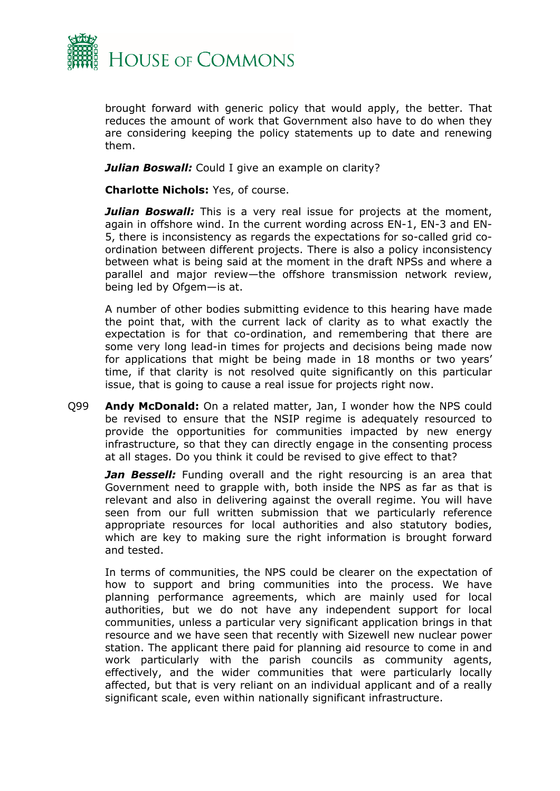

brought forward with generic policy that would apply, the better. That reduces the amount of work that Government also have to do when they are considering keeping the policy statements up to date and renewing them.

**Julian Boswall:** Could I give an example on clarity?

**Charlotte Nichols:** Yes, of course.

**Julian Boswall:** This is a very real issue for projects at the moment, again in offshore wind. In the current wording across EN-1, EN-3 and EN-5, there is inconsistency as regards the expectations for so-called grid coordination between different projects. There is also a policy inconsistency between what is being said at the moment in the draft NPSs and where a parallel and major review—the offshore transmission network review, being led by Ofgem—is at.

A number of other bodies submitting evidence to this hearing have made the point that, with the current lack of clarity as to what exactly the expectation is for that co-ordination, and remembering that there are some very long lead-in times for projects and decisions being made now for applications that might be being made in 18 months or two years' time, if that clarity is not resolved quite significantly on this particular issue, that is going to cause a real issue for projects right now.

Q99 **Andy McDonald:** On a related matter, Jan, I wonder how the NPS could be revised to ensure that the NSIP regime is adequately resourced to provide the opportunities for communities impacted by new energy infrastructure, so that they can directly engage in the consenting process at all stages. Do you think it could be revised to give effect to that?

*Jan Bessell:* Funding overall and the right resourcing is an area that Government need to grapple with, both inside the NPS as far as that is relevant and also in delivering against the overall regime. You will have seen from our full written submission that we particularly reference appropriate resources for local authorities and also statutory bodies, which are key to making sure the right information is brought forward and tested.

In terms of communities, the NPS could be clearer on the expectation of how to support and bring communities into the process. We have planning performance agreements, which are mainly used for local authorities, but we do not have any independent support for local communities, unless a particular very significant application brings in that resource and we have seen that recently with Sizewell new nuclear power station. The applicant there paid for planning aid resource to come in and work particularly with the parish councils as community agents, effectively, and the wider communities that were particularly locally affected, but that is very reliant on an individual applicant and of a really significant scale, even within nationally significant infrastructure.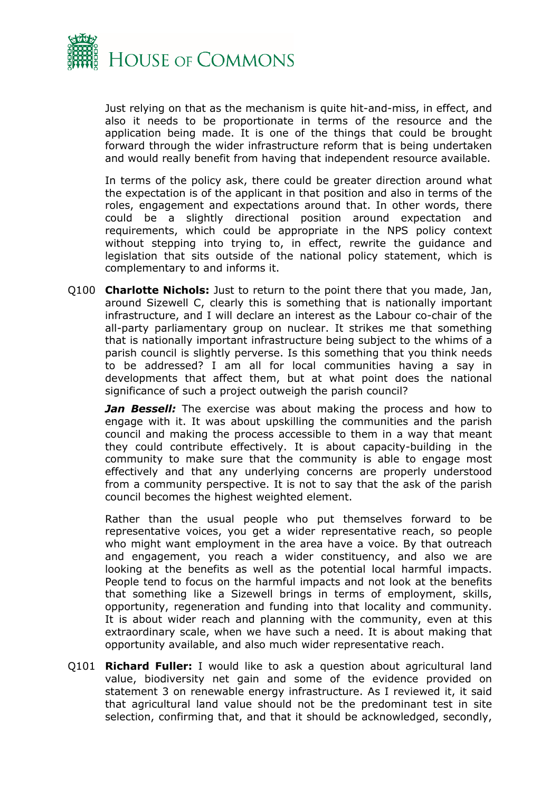

Just relying on that as the mechanism is quite hit-and-miss, in effect, and also it needs to be proportionate in terms of the resource and the application being made. It is one of the things that could be brought forward through the wider infrastructure reform that is being undertaken and would really benefit from having that independent resource available.

In terms of the policy ask, there could be greater direction around what the expectation is of the applicant in that position and also in terms of the roles, engagement and expectations around that. In other words, there could be a slightly directional position around expectation and requirements, which could be appropriate in the NPS policy context without stepping into trying to, in effect, rewrite the guidance and legislation that sits outside of the national policy statement, which is complementary to and informs it.

Q100 **Charlotte Nichols:** Just to return to the point there that you made, Jan, around Sizewell C, clearly this is something that is nationally important infrastructure, and I will declare an interest as the Labour co-chair of the all-party parliamentary group on nuclear. It strikes me that something that is nationally important infrastructure being subject to the whims of a parish council is slightly perverse. Is this something that you think needs to be addressed? I am all for local communities having a say in developments that affect them, but at what point does the national significance of such a project outweigh the parish council?

*Jan Bessell:* The exercise was about making the process and how to engage with it. It was about upskilling the communities and the parish council and making the process accessible to them in a way that meant they could contribute effectively. It is about capacity-building in the community to make sure that the community is able to engage most effectively and that any underlying concerns are properly understood from a community perspective. It is not to say that the ask of the parish council becomes the highest weighted element.

Rather than the usual people who put themselves forward to be representative voices, you get a wider representative reach, so people who might want employment in the area have a voice. By that outreach and engagement, you reach a wider constituency, and also we are looking at the benefits as well as the potential local harmful impacts. People tend to focus on the harmful impacts and not look at the benefits that something like a Sizewell brings in terms of employment, skills, opportunity, regeneration and funding into that locality and community. It is about wider reach and planning with the community, even at this extraordinary scale, when we have such a need. It is about making that opportunity available, and also much wider representative reach.

Q101 **Richard Fuller:** I would like to ask a question about agricultural land value, biodiversity net gain and some of the evidence provided on statement 3 on renewable energy infrastructure. As I reviewed it, it said that agricultural land value should not be the predominant test in site selection, confirming that, and that it should be acknowledged, secondly,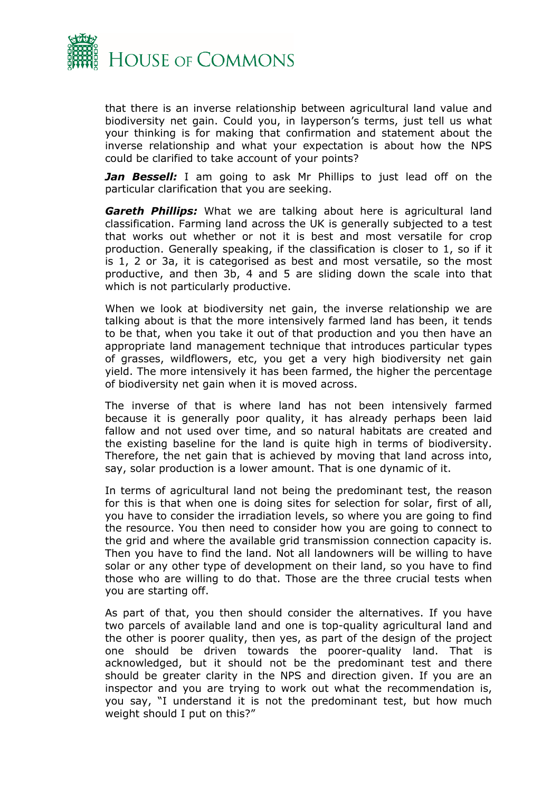

that there is an inverse relationship between agricultural land value and biodiversity net gain. Could you, in layperson's terms, just tell us what your thinking is for making that confirmation and statement about the inverse relationship and what your expectation is about how the NPS could be clarified to take account of your points?

*Jan Bessell:* I am going to ask Mr Phillips to just lead off on the particular clarification that you are seeking.

*Gareth Phillips:* What we are talking about here is agricultural land classification. Farming land across the UK is generally subjected to a test that works out whether or not it is best and most versatile for crop production. Generally speaking, if the classification is closer to 1, so if it is 1, 2 or 3a, it is categorised as best and most versatile, so the most productive, and then 3b, 4 and 5 are sliding down the scale into that which is not particularly productive.

When we look at biodiversity net gain, the inverse relationship we are talking about is that the more intensively farmed land has been, it tends to be that, when you take it out of that production and you then have an appropriate land management technique that introduces particular types of grasses, wildflowers, etc, you get a very high biodiversity net gain yield. The more intensively it has been farmed, the higher the percentage of biodiversity net gain when it is moved across.

The inverse of that is where land has not been intensively farmed because it is generally poor quality, it has already perhaps been laid fallow and not used over time, and so natural habitats are created and the existing baseline for the land is quite high in terms of biodiversity. Therefore, the net gain that is achieved by moving that land across into, say, solar production is a lower amount. That is one dynamic of it.

In terms of agricultural land not being the predominant test, the reason for this is that when one is doing sites for selection for solar, first of all, you have to consider the irradiation levels, so where you are going to find the resource. You then need to consider how you are going to connect to the grid and where the available grid transmission connection capacity is. Then you have to find the land. Not all landowners will be willing to have solar or any other type of development on their land, so you have to find those who are willing to do that. Those are the three crucial tests when you are starting off.

As part of that, you then should consider the alternatives. If you have two parcels of available land and one is top-quality agricultural land and the other is poorer quality, then yes, as part of the design of the project one should be driven towards the poorer-quality land. That is acknowledged, but it should not be the predominant test and there should be greater clarity in the NPS and direction given. If you are an inspector and you are trying to work out what the recommendation is, you say, "I understand it is not the predominant test, but how much weight should I put on this?"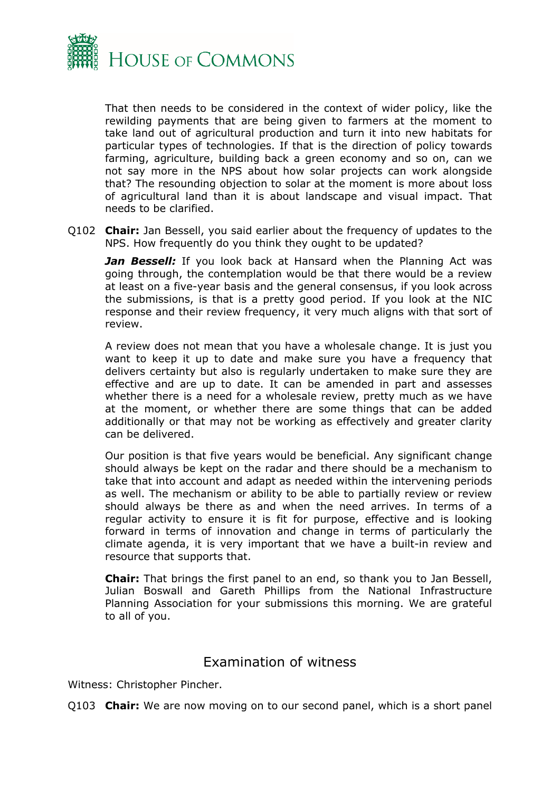

That then needs to be considered in the context of wider policy, like the rewilding payments that are being given to farmers at the moment to take land out of agricultural production and turn it into new habitats for particular types of technologies. If that is the direction of policy towards farming, agriculture, building back a green economy and so on, can we not say more in the NPS about how solar projects can work alongside that? The resounding objection to solar at the moment is more about loss of agricultural land than it is about landscape and visual impact. That needs to be clarified.

Q102 **Chair:** Jan Bessell, you said earlier about the frequency of updates to the NPS. How frequently do you think they ought to be updated?

*Jan Bessell:* If you look back at Hansard when the Planning Act was going through, the contemplation would be that there would be a review at least on a five-year basis and the general consensus, if you look across the submissions, is that is a pretty good period. If you look at the NIC response and their review frequency, it very much aligns with that sort of review.

A review does not mean that you have a wholesale change. It is just you want to keep it up to date and make sure you have a frequency that delivers certainty but also is regularly undertaken to make sure they are effective and are up to date. It can be amended in part and assesses whether there is a need for a wholesale review, pretty much as we have at the moment, or whether there are some things that can be added additionally or that may not be working as effectively and greater clarity can be delivered.

Our position is that five years would be beneficial. Any significant change should always be kept on the radar and there should be a mechanism to take that into account and adapt as needed within the intervening periods as well. The mechanism or ability to be able to partially review or review should always be there as and when the need arrives. In terms of a regular activity to ensure it is fit for purpose, effective and is looking forward in terms of innovation and change in terms of particularly the climate agenda, it is very important that we have a built-in review and resource that supports that.

**Chair:** That brings the first panel to an end, so thank you to Jan Bessell, Julian Boswall and Gareth Phillips from the National Infrastructure Planning Association for your submissions this morning. We are grateful to all of you.

### Examination of witness

Witness: Christopher Pincher.

Q103 **Chair:** We are now moving on to our second panel, which is a short panel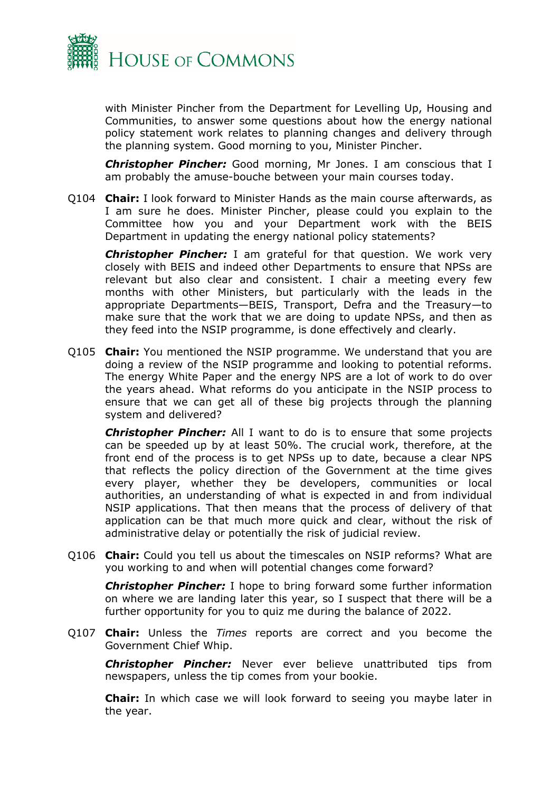

with Minister Pincher from the Department for Levelling Up, Housing and Communities, to answer some questions about how the energy national policy statement work relates to planning changes and delivery through the planning system. Good morning to you, Minister Pincher.

*Christopher Pincher:* Good morning, Mr Jones. I am conscious that I am probably the amuse-bouche between your main courses today.

Q104 **Chair:** I look forward to Minister Hands as the main course afterwards, as I am sure he does. Minister Pincher, please could you explain to the Committee how you and your Department work with the BEIS Department in updating the energy national policy statements?

*Christopher Pincher:* I am grateful for that question. We work very closely with BEIS and indeed other Departments to ensure that NPSs are relevant but also clear and consistent. I chair a meeting every few months with other Ministers, but particularly with the leads in the appropriate Departments—BEIS, Transport, Defra and the Treasury—to make sure that the work that we are doing to update NPSs, and then as they feed into the NSIP programme, is done effectively and clearly.

Q105 **Chair:** You mentioned the NSIP programme. We understand that you are doing a review of the NSIP programme and looking to potential reforms. The energy White Paper and the energy NPS are a lot of work to do over the years ahead. What reforms do you anticipate in the NSIP process to ensure that we can get all of these big projects through the planning system and delivered?

*Christopher Pincher:* All I want to do is to ensure that some projects can be speeded up by at least 50%. The crucial work, therefore, at the front end of the process is to get NPSs up to date, because a clear NPS that reflects the policy direction of the Government at the time gives every player, whether they be developers, communities or local authorities, an understanding of what is expected in and from individual NSIP applications. That then means that the process of delivery of that application can be that much more quick and clear, without the risk of administrative delay or potentially the risk of judicial review.

Q106 **Chair:** Could you tell us about the timescales on NSIP reforms? What are you working to and when will potential changes come forward?

*Christopher Pincher:* I hope to bring forward some further information on where we are landing later this year, so I suspect that there will be a further opportunity for you to quiz me during the balance of 2022.

Q107 **Chair:** Unless the *Times* reports are correct and you become the Government Chief Whip.

*Christopher Pincher:* Never ever believe unattributed tips from newspapers, unless the tip comes from your bookie.

**Chair:** In which case we will look forward to seeing you maybe later in the year.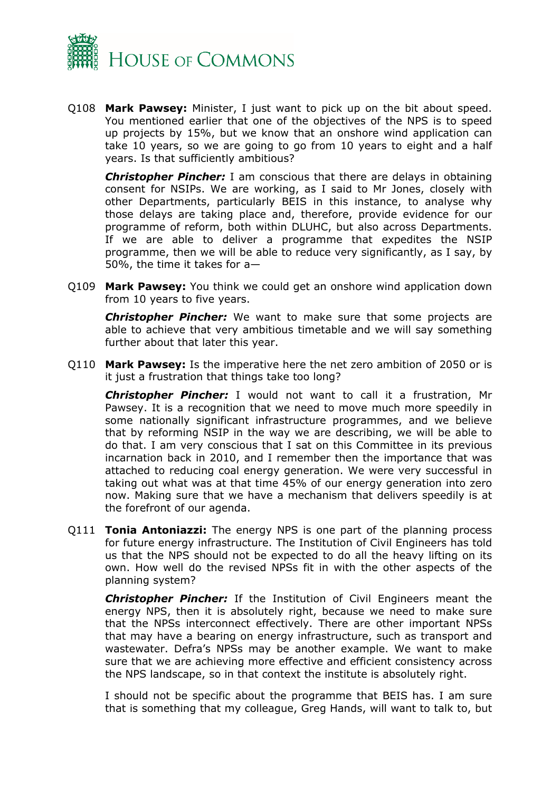

Q108 **Mark Pawsey:** Minister, I just want to pick up on the bit about speed. You mentioned earlier that one of the objectives of the NPS is to speed up projects by 15%, but we know that an onshore wind application can take 10 years, so we are going to go from 10 years to eight and a half years. Is that sufficiently ambitious?

*Christopher Pincher:* I am conscious that there are delays in obtaining consent for NSIPs. We are working, as I said to Mr Jones, closely with other Departments, particularly BEIS in this instance, to analyse why those delays are taking place and, therefore, provide evidence for our programme of reform, both within DLUHC, but also across Departments. If we are able to deliver a programme that expedites the NSIP programme, then we will be able to reduce very significantly, as I say, by 50%, the time it takes for a—

Q109 **Mark Pawsey:** You think we could get an onshore wind application down from 10 years to five years.

*Christopher Pincher:* We want to make sure that some projects are able to achieve that very ambitious timetable and we will say something further about that later this year.

Q110 **Mark Pawsey:** Is the imperative here the net zero ambition of 2050 or is it just a frustration that things take too long?

*Christopher Pincher:* I would not want to call it a frustration, Mr Pawsey. It is a recognition that we need to move much more speedily in some nationally significant infrastructure programmes, and we believe that by reforming NSIP in the way we are describing, we will be able to do that. I am very conscious that I sat on this Committee in its previous incarnation back in 2010, and I remember then the importance that was attached to reducing coal energy generation. We were very successful in taking out what was at that time 45% of our energy generation into zero now. Making sure that we have a mechanism that delivers speedily is at the forefront of our agenda.

Q111 **Tonia Antoniazzi:** The energy NPS is one part of the planning process for future energy infrastructure. The Institution of Civil Engineers has told us that the NPS should not be expected to do all the heavy lifting on its own. How well do the revised NPSs fit in with the other aspects of the planning system?

*Christopher Pincher:* If the Institution of Civil Engineers meant the energy NPS, then it is absolutely right, because we need to make sure that the NPSs interconnect effectively. There are other important NPSs that may have a bearing on energy infrastructure, such as transport and wastewater. Defra's NPSs may be another example. We want to make sure that we are achieving more effective and efficient consistency across the NPS landscape, so in that context the institute is absolutely right.

I should not be specific about the programme that BEIS has. I am sure that is something that my colleague, Greg Hands, will want to talk to, but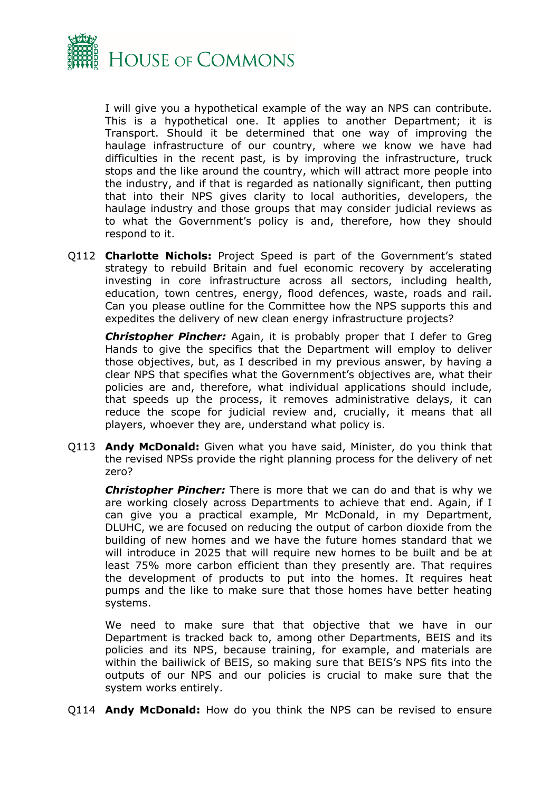

I will give you a hypothetical example of the way an NPS can contribute. This is a hypothetical one. It applies to another Department; it is Transport. Should it be determined that one way of improving the haulage infrastructure of our country, where we know we have had difficulties in the recent past, is by improving the infrastructure, truck stops and the like around the country, which will attract more people into the industry, and if that is regarded as nationally significant, then putting that into their NPS gives clarity to local authorities, developers, the haulage industry and those groups that may consider judicial reviews as to what the Government's policy is and, therefore, how they should respond to it.

Q112 **Charlotte Nichols:** Project Speed is part of the Government's stated strategy to rebuild Britain and fuel economic recovery by accelerating investing in core infrastructure across all sectors, including health, education, town centres, energy, flood defences, waste, roads and rail. Can you please outline for the Committee how the NPS supports this and expedites the delivery of new clean energy infrastructure projects?

*Christopher Pincher:* Again, it is probably proper that I defer to Greg Hands to give the specifics that the Department will employ to deliver those objectives, but, as I described in my previous answer, by having a clear NPS that specifies what the Government's objectives are, what their policies are and, therefore, what individual applications should include, that speeds up the process, it removes administrative delays, it can reduce the scope for judicial review and, crucially, it means that all players, whoever they are, understand what policy is.

Q113 **Andy McDonald:** Given what you have said, Minister, do you think that the revised NPSs provide the right planning process for the delivery of net zero?

*Christopher Pincher:* There is more that we can do and that is why we are working closely across Departments to achieve that end. Again, if I can give you a practical example, Mr McDonald, in my Department, DLUHC, we are focused on reducing the output of carbon dioxide from the building of new homes and we have the future homes standard that we will introduce in 2025 that will require new homes to be built and be at least 75% more carbon efficient than they presently are. That requires the development of products to put into the homes. It requires heat pumps and the like to make sure that those homes have better heating systems.

We need to make sure that that objective that we have in our Department is tracked back to, among other Departments, BEIS and its policies and its NPS, because training, for example, and materials are within the bailiwick of BEIS, so making sure that BEIS's NPS fits into the outputs of our NPS and our policies is crucial to make sure that the system works entirely.

Q114 **Andy McDonald:** How do you think the NPS can be revised to ensure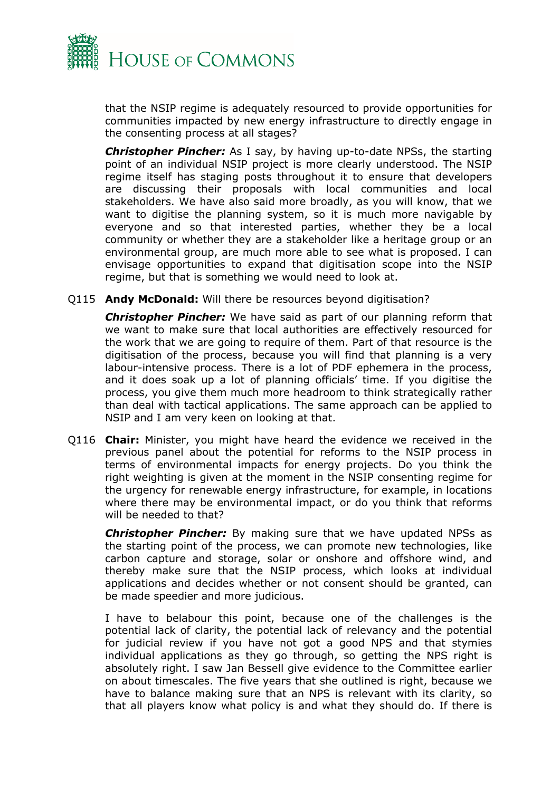

that the NSIP regime is adequately resourced to provide opportunities for communities impacted by new energy infrastructure to directly engage in the consenting process at all stages?

*Christopher Pincher:* As I say, by having up-to-date NPSs, the starting point of an individual NSIP project is more clearly understood. The NSIP regime itself has staging posts throughout it to ensure that developers are discussing their proposals with local communities and local stakeholders. We have also said more broadly, as you will know, that we want to digitise the planning system, so it is much more navigable by everyone and so that interested parties, whether they be a local community or whether they are a stakeholder like a heritage group or an environmental group, are much more able to see what is proposed. I can envisage opportunities to expand that digitisation scope into the NSIP regime, but that is something we would need to look at.

Q115 **Andy McDonald:** Will there be resources beyond digitisation?

*Christopher Pincher:* We have said as part of our planning reform that we want to make sure that local authorities are effectively resourced for the work that we are going to require of them. Part of that resource is the digitisation of the process, because you will find that planning is a very labour-intensive process. There is a lot of PDF ephemera in the process, and it does soak up a lot of planning officials' time. If you digitise the process, you give them much more headroom to think strategically rather than deal with tactical applications. The same approach can be applied to NSIP and I am very keen on looking at that.

Q116 **Chair:** Minister, you might have heard the evidence we received in the previous panel about the potential for reforms to the NSIP process in terms of environmental impacts for energy projects. Do you think the right weighting is given at the moment in the NSIP consenting regime for the urgency for renewable energy infrastructure, for example, in locations where there may be environmental impact, or do you think that reforms will be needed to that?

*Christopher Pincher:* By making sure that we have updated NPSs as the starting point of the process, we can promote new technologies, like carbon capture and storage, solar or onshore and offshore wind, and thereby make sure that the NSIP process, which looks at individual applications and decides whether or not consent should be granted, can be made speedier and more judicious.

I have to belabour this point, because one of the challenges is the potential lack of clarity, the potential lack of relevancy and the potential for judicial review if you have not got a good NPS and that stymies individual applications as they go through, so getting the NPS right is absolutely right. I saw Jan Bessell give evidence to the Committee earlier on about timescales. The five years that she outlined is right, because we have to balance making sure that an NPS is relevant with its clarity, so that all players know what policy is and what they should do. If there is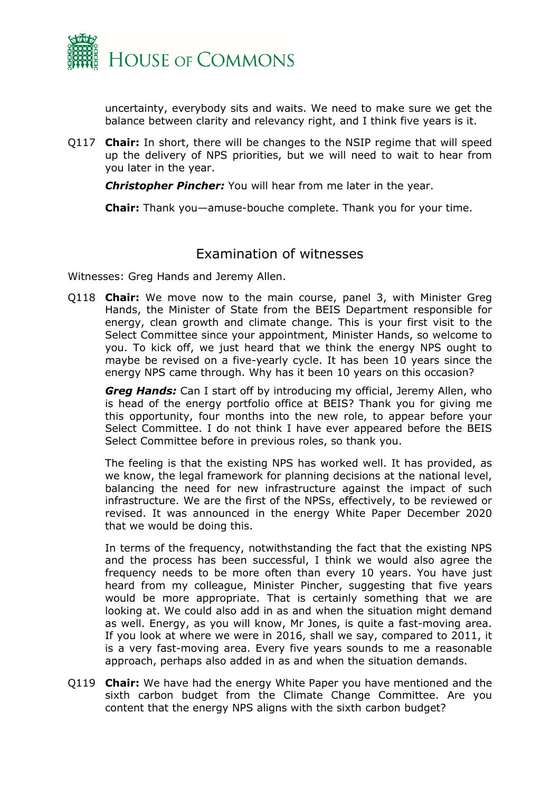

uncertainty, everybody sits and waits. We need to make sure we get the balance between clarity and relevancy right, and I think five years is it.

Q117 **Chair:** In short, there will be changes to the NSIP regime that will speed up the delivery of NPS priorities, but we will need to wait to hear from you later in the year.

*Christopher Pincher:* You will hear from me later in the year.

**Chair:** Thank you—amuse-bouche complete. Thank you for your time.

#### Examination of witnesses

Witnesses: Greg Hands and Jeremy Allen.

Q118 **Chair:** We move now to the main course, panel 3, with Minister Greg Hands, the Minister of State from the BEIS Department responsible for energy, clean growth and climate change. This is your first visit to the Select Committee since your appointment, Minister Hands, so welcome to you. To kick off, we just heard that we think the energy NPS ought to maybe be revised on a five-yearly cycle. It has been 10 years since the energy NPS came through. Why has it been 10 years on this occasion?

*Greg Hands:* Can I start off by introducing my official, Jeremy Allen, who is head of the energy portfolio office at BEIS? Thank you for giving me this opportunity, four months into the new role, to appear before your Select Committee. I do not think I have ever appeared before the BEIS Select Committee before in previous roles, so thank you.

The feeling is that the existing NPS has worked well. It has provided, as we know, the legal framework for planning decisions at the national level, balancing the need for new infrastructure against the impact of such infrastructure. We are the first of the NPSs, effectively, to be reviewed or revised. It was announced in the energy White Paper December 2020 that we would be doing this.

In terms of the frequency, notwithstanding the fact that the existing NPS and the process has been successful, I think we would also agree the frequency needs to be more often than every 10 years. You have just heard from my colleague, Minister Pincher, suggesting that five years would be more appropriate. That is certainly something that we are looking at. We could also add in as and when the situation might demand as well. Energy, as you will know, Mr Jones, is quite a fast-moving area. If you look at where we were in 2016, shall we say, compared to 2011, it is a very fast-moving area. Every five years sounds to me a reasonable approach, perhaps also added in as and when the situation demands.

Q119 **Chair:** We have had the energy White Paper you have mentioned and the sixth carbon budget from the Climate Change Committee. Are you content that the energy NPS aligns with the sixth carbon budget?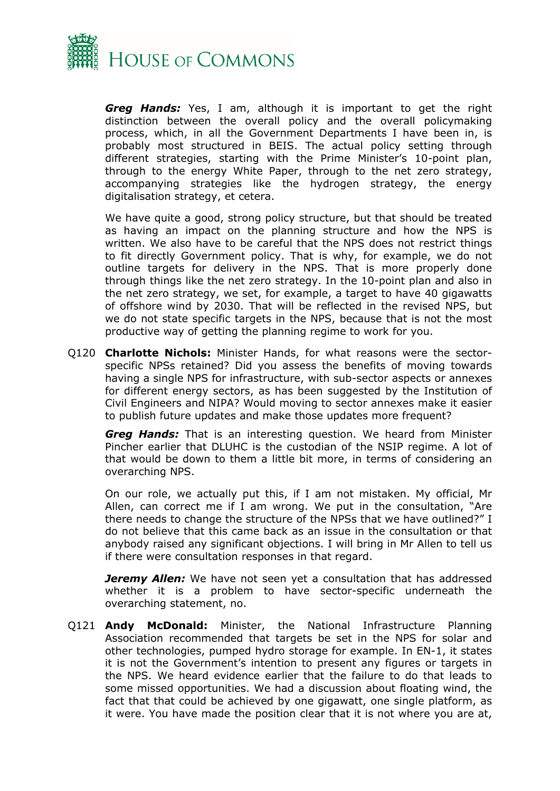

*Greg Hands:* Yes, I am, although it is important to get the right distinction between the overall policy and the overall policymaking process, which, in all the Government Departments I have been in, is probably most structured in BEIS. The actual policy setting through different strategies, starting with the Prime Minister's 10-point plan, through to the energy White Paper, through to the net zero strategy, accompanying strategies like the hydrogen strategy, the energy digitalisation strategy, et cetera.

We have quite a good, strong policy structure, but that should be treated as having an impact on the planning structure and how the NPS is written. We also have to be careful that the NPS does not restrict things to fit directly Government policy. That is why, for example, we do not outline targets for delivery in the NPS. That is more properly done through things like the net zero strategy. In the 10-point plan and also in the net zero strategy, we set, for example, a target to have 40 gigawatts of offshore wind by 2030. That will be reflected in the revised NPS, but we do not state specific targets in the NPS, because that is not the most productive way of getting the planning regime to work for you.

Q120 **Charlotte Nichols:** Minister Hands, for what reasons were the sectorspecific NPSs retained? Did you assess the benefits of moving towards having a single NPS for infrastructure, with sub-sector aspects or annexes for different energy sectors, as has been suggested by the Institution of Civil Engineers and NIPA? Would moving to sector annexes make it easier to publish future updates and make those updates more frequent?

*Greg Hands:* That is an interesting question. We heard from Minister Pincher earlier that DLUHC is the custodian of the NSIP regime. A lot of that would be down to them a little bit more, in terms of considering an overarching NPS.

On our role, we actually put this, if I am not mistaken. My official, Mr Allen, can correct me if I am wrong. We put in the consultation, "Are there needs to change the structure of the NPSs that we have outlined?" I do not believe that this came back as an issue in the consultation or that anybody raised any significant objections. I will bring in Mr Allen to tell us if there were consultation responses in that regard.

*Jeremy Allen:* We have not seen yet a consultation that has addressed whether it is a problem to have sector-specific underneath the overarching statement, no.

Q121 **Andy McDonald:** Minister, the National Infrastructure Planning Association recommended that targets be set in the NPS for solar and other technologies, pumped hydro storage for example. In EN-1, it states it is not the Government's intention to present any figures or targets in the NPS. We heard evidence earlier that the failure to do that leads to some missed opportunities. We had a discussion about floating wind, the fact that that could be achieved by one gigawatt, one single platform, as it were. You have made the position clear that it is not where you are at,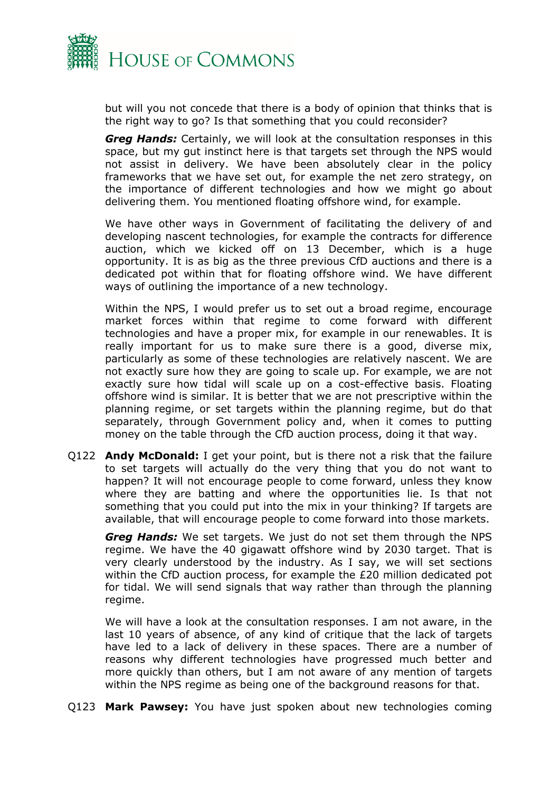

but will you not concede that there is a body of opinion that thinks that is the right way to go? Is that something that you could reconsider?

*Greg Hands:* Certainly, we will look at the consultation responses in this space, but my gut instinct here is that targets set through the NPS would not assist in delivery. We have been absolutely clear in the policy frameworks that we have set out, for example the net zero strategy, on the importance of different technologies and how we might go about delivering them. You mentioned floating offshore wind, for example.

We have other ways in Government of facilitating the delivery of and developing nascent technologies, for example the contracts for difference auction, which we kicked off on 13 December, which is a huge opportunity. It is as big as the three previous CfD auctions and there is a dedicated pot within that for floating offshore wind. We have different ways of outlining the importance of a new technology.

Within the NPS, I would prefer us to set out a broad regime, encourage market forces within that regime to come forward with different technologies and have a proper mix, for example in our renewables. It is really important for us to make sure there is a good, diverse mix, particularly as some of these technologies are relatively nascent. We are not exactly sure how they are going to scale up. For example, we are not exactly sure how tidal will scale up on a cost-effective basis. Floating offshore wind is similar. It is better that we are not prescriptive within the planning regime, or set targets within the planning regime, but do that separately, through Government policy and, when it comes to putting money on the table through the CfD auction process, doing it that way.

Q122 **Andy McDonald:** I get your point, but is there not a risk that the failure to set targets will actually do the very thing that you do not want to happen? It will not encourage people to come forward, unless they know where they are batting and where the opportunities lie. Is that not something that you could put into the mix in your thinking? If targets are available, that will encourage people to come forward into those markets.

*Greg Hands:* We set targets. We just do not set them through the NPS regime. We have the 40 gigawatt offshore wind by 2030 target. That is very clearly understood by the industry. As I say, we will set sections within the CfD auction process, for example the £20 million dedicated pot for tidal. We will send signals that way rather than through the planning regime.

We will have a look at the consultation responses. I am not aware, in the last 10 years of absence, of any kind of critique that the lack of targets have led to a lack of delivery in these spaces. There are a number of reasons why different technologies have progressed much better and more quickly than others, but I am not aware of any mention of targets within the NPS regime as being one of the background reasons for that.

Q123 **Mark Pawsey:** You have just spoken about new technologies coming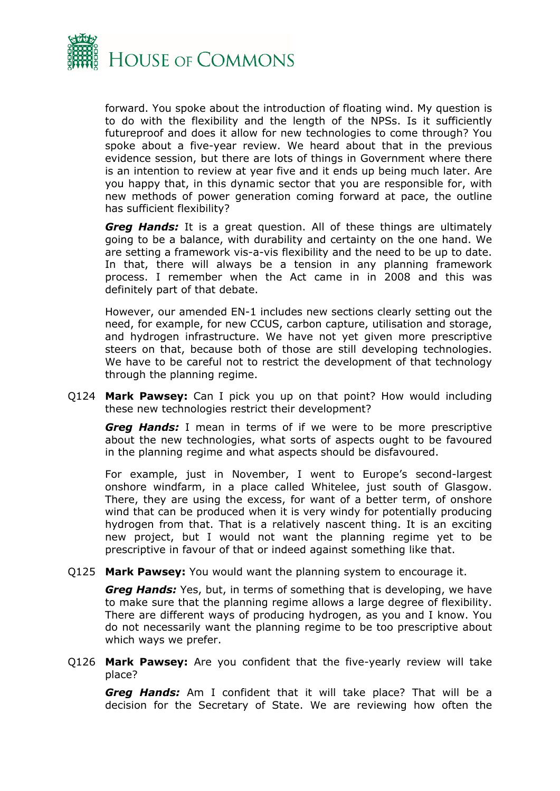

forward. You spoke about the introduction of floating wind. My question is to do with the flexibility and the length of the NPSs. Is it sufficiently futureproof and does it allow for new technologies to come through? You spoke about a five-year review. We heard about that in the previous evidence session, but there are lots of things in Government where there is an intention to review at year five and it ends up being much later. Are you happy that, in this dynamic sector that you are responsible for, with new methods of power generation coming forward at pace, the outline has sufficient flexibility?

*Greg Hands:* It is a great question. All of these things are ultimately going to be a balance, with durability and certainty on the one hand. We are setting a framework vis-a-vis flexibility and the need to be up to date. In that, there will always be a tension in any planning framework process. I remember when the Act came in in 2008 and this was definitely part of that debate.

However, our amended EN-1 includes new sections clearly setting out the need, for example, for new CCUS, carbon capture, utilisation and storage, and hydrogen infrastructure. We have not yet given more prescriptive steers on that, because both of those are still developing technologies. We have to be careful not to restrict the development of that technology through the planning regime.

Q124 **Mark Pawsey:** Can I pick you up on that point? How would including these new technologies restrict their development?

*Greg Hands:* I mean in terms of if we were to be more prescriptive about the new technologies, what sorts of aspects ought to be favoured in the planning regime and what aspects should be disfavoured.

For example, just in November, I went to Europe's second-largest onshore windfarm, in a place called Whitelee, just south of Glasgow. There, they are using the excess, for want of a better term, of onshore wind that can be produced when it is very windy for potentially producing hydrogen from that. That is a relatively nascent thing. It is an exciting new project, but I would not want the planning regime yet to be prescriptive in favour of that or indeed against something like that.

Q125 **Mark Pawsey:** You would want the planning system to encourage it.

*Greg Hands:* Yes, but, in terms of something that is developing, we have to make sure that the planning regime allows a large degree of flexibility. There are different ways of producing hydrogen, as you and I know. You do not necessarily want the planning regime to be too prescriptive about which ways we prefer.

Q126 **Mark Pawsey:** Are you confident that the five-yearly review will take place?

*Greg Hands:* Am I confident that it will take place? That will be a decision for the Secretary of State. We are reviewing how often the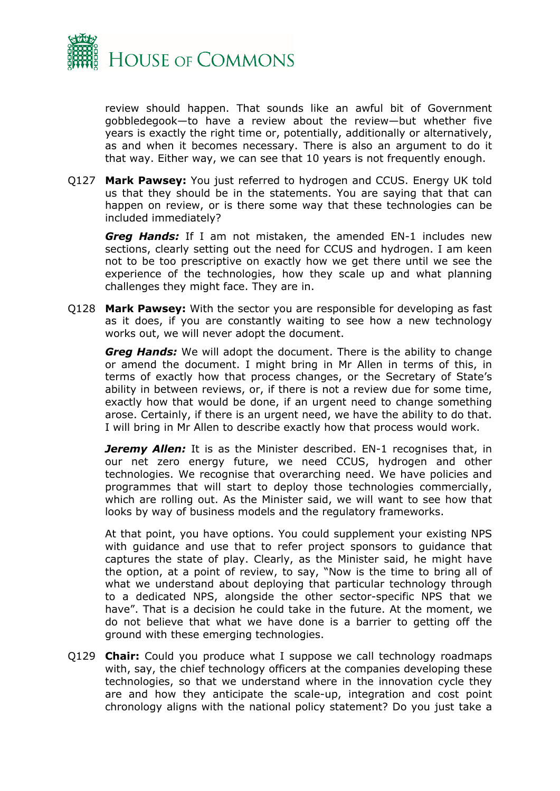

review should happen. That sounds like an awful bit of Government gobbledegook—to have a review about the review—but whether five years is exactly the right time or, potentially, additionally or alternatively, as and when it becomes necessary. There is also an argument to do it that way. Either way, we can see that 10 years is not frequently enough.

Q127 **Mark Pawsey:** You just referred to hydrogen and CCUS. Energy UK told us that they should be in the statements. You are saying that that can happen on review, or is there some way that these technologies can be included immediately?

*Greg Hands:* If I am not mistaken, the amended EN-1 includes new sections, clearly setting out the need for CCUS and hydrogen. I am keen not to be too prescriptive on exactly how we get there until we see the experience of the technologies, how they scale up and what planning challenges they might face. They are in.

Q128 **Mark Pawsey:** With the sector you are responsible for developing as fast as it does, if you are constantly waiting to see how a new technology works out, we will never adopt the document.

*Greg Hands:* We will adopt the document. There is the ability to change or amend the document. I might bring in Mr Allen in terms of this, in terms of exactly how that process changes, or the Secretary of State's ability in between reviews, or, if there is not a review due for some time, exactly how that would be done, if an urgent need to change something arose. Certainly, if there is an urgent need, we have the ability to do that. I will bring in Mr Allen to describe exactly how that process would work.

**Jeremy Allen:** It is as the Minister described. EN-1 recognises that, in our net zero energy future, we need CCUS, hydrogen and other technologies. We recognise that overarching need. We have policies and programmes that will start to deploy those technologies commercially, which are rolling out. As the Minister said, we will want to see how that looks by way of business models and the regulatory frameworks.

At that point, you have options. You could supplement your existing NPS with guidance and use that to refer project sponsors to guidance that captures the state of play. Clearly, as the Minister said, he might have the option, at a point of review, to say, "Now is the time to bring all of what we understand about deploying that particular technology through to a dedicated NPS, alongside the other sector-specific NPS that we have". That is a decision he could take in the future. At the moment, we do not believe that what we have done is a barrier to getting off the ground with these emerging technologies.

Q129 **Chair:** Could you produce what I suppose we call technology roadmaps with, say, the chief technology officers at the companies developing these technologies, so that we understand where in the innovation cycle they are and how they anticipate the scale-up, integration and cost point chronology aligns with the national policy statement? Do you just take a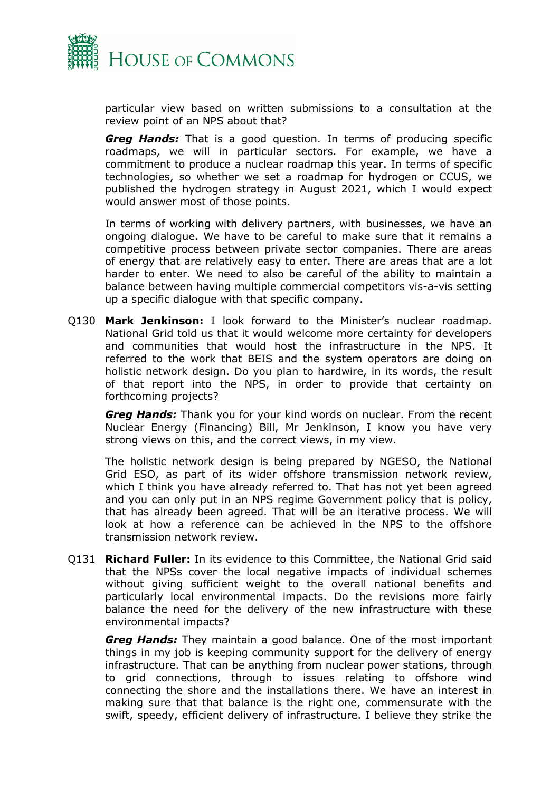

particular view based on written submissions to a consultation at the review point of an NPS about that?

*Greg Hands:* That is a good question. In terms of producing specific roadmaps, we will in particular sectors. For example, we have a commitment to produce a nuclear roadmap this year. In terms of specific technologies, so whether we set a roadmap for hydrogen or CCUS, we published the hydrogen strategy in August 2021, which I would expect would answer most of those points.

In terms of working with delivery partners, with businesses, we have an ongoing dialogue. We have to be careful to make sure that it remains a competitive process between private sector companies. There are areas of energy that are relatively easy to enter. There are areas that are a lot harder to enter. We need to also be careful of the ability to maintain a balance between having multiple commercial competitors vis-a-vis setting up a specific dialogue with that specific company.

Q130 **Mark Jenkinson:** I look forward to the Minister's nuclear roadmap. National Grid told us that it would welcome more certainty for developers and communities that would host the infrastructure in the NPS. It referred to the work that BEIS and the system operators are doing on holistic network design. Do you plan to hardwire, in its words, the result of that report into the NPS, in order to provide that certainty on forthcoming projects?

*Greg Hands:* Thank you for your kind words on nuclear. From the recent Nuclear Energy (Financing) Bill, Mr Jenkinson, I know you have very strong views on this, and the correct views, in my view.

The holistic network design is being prepared by NGESO, the National Grid ESO, as part of its wider offshore transmission network review, which I think you have already referred to. That has not yet been agreed and you can only put in an NPS regime Government policy that is policy, that has already been agreed. That will be an iterative process. We will look at how a reference can be achieved in the NPS to the offshore transmission network review.

Q131 **Richard Fuller:** In its evidence to this Committee, the National Grid said that the NPSs cover the local negative impacts of individual schemes without giving sufficient weight to the overall national benefits and particularly local environmental impacts. Do the revisions more fairly balance the need for the delivery of the new infrastructure with these environmental impacts?

*Greg Hands:* They maintain a good balance. One of the most important things in my job is keeping community support for the delivery of energy infrastructure. That can be anything from nuclear power stations, through to grid connections, through to issues relating to offshore wind connecting the shore and the installations there. We have an interest in making sure that that balance is the right one, commensurate with the swift, speedy, efficient delivery of infrastructure. I believe they strike the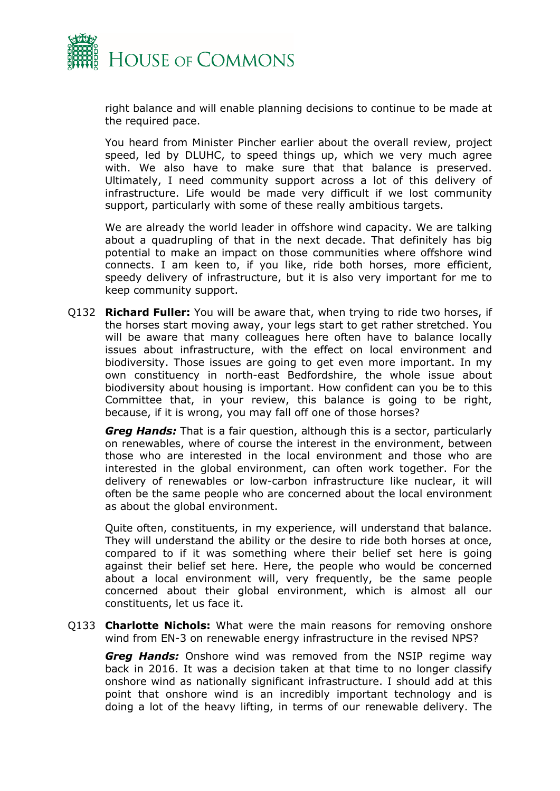

right balance and will enable planning decisions to continue to be made at the required pace.

You heard from Minister Pincher earlier about the overall review, project speed, led by DLUHC, to speed things up, which we very much agree with. We also have to make sure that that balance is preserved. Ultimately, I need community support across a lot of this delivery of infrastructure. Life would be made very difficult if we lost community support, particularly with some of these really ambitious targets.

We are already the world leader in offshore wind capacity. We are talking about a quadrupling of that in the next decade. That definitely has big potential to make an impact on those communities where offshore wind connects. I am keen to, if you like, ride both horses, more efficient, speedy delivery of infrastructure, but it is also very important for me to keep community support.

Q132 **Richard Fuller:** You will be aware that, when trying to ride two horses, if the horses start moving away, your legs start to get rather stretched. You will be aware that many colleagues here often have to balance locally issues about infrastructure, with the effect on local environment and biodiversity. Those issues are going to get even more important. In my own constituency in north-east Bedfordshire, the whole issue about biodiversity about housing is important. How confident can you be to this Committee that, in your review, this balance is going to be right, because, if it is wrong, you may fall off one of those horses?

*Greg Hands:* That is a fair question, although this is a sector, particularly on renewables, where of course the interest in the environment, between those who are interested in the local environment and those who are interested in the global environment, can often work together. For the delivery of renewables or low-carbon infrastructure like nuclear, it will often be the same people who are concerned about the local environment as about the global environment.

Quite often, constituents, in my experience, will understand that balance. They will understand the ability or the desire to ride both horses at once, compared to if it was something where their belief set here is going against their belief set here. Here, the people who would be concerned about a local environment will, very frequently, be the same people concerned about their global environment, which is almost all our constituents, let us face it.

Q133 **Charlotte Nichols:** What were the main reasons for removing onshore wind from EN-3 on renewable energy infrastructure in the revised NPS?

*Greg Hands:* Onshore wind was removed from the NSIP regime way back in 2016. It was a decision taken at that time to no longer classify onshore wind as nationally significant infrastructure. I should add at this point that onshore wind is an incredibly important technology and is doing a lot of the heavy lifting, in terms of our renewable delivery. The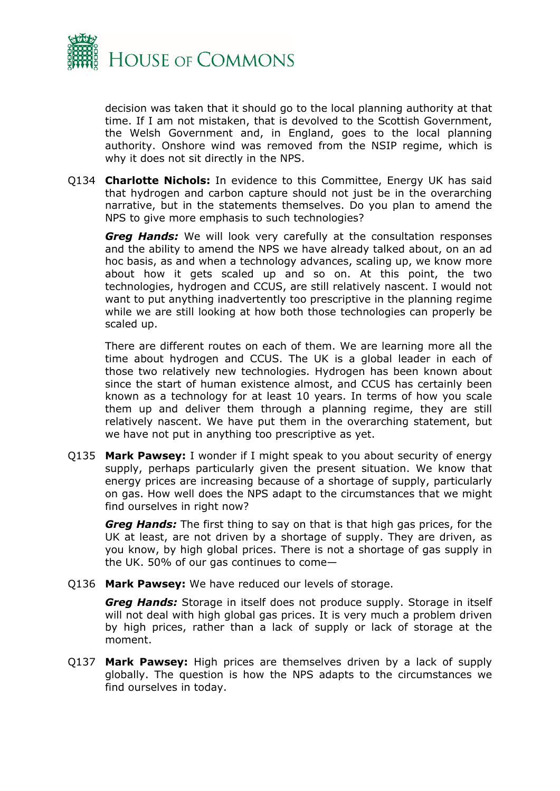

decision was taken that it should go to the local planning authority at that time. If I am not mistaken, that is devolved to the Scottish Government, the Welsh Government and, in England, goes to the local planning authority. Onshore wind was removed from the NSIP regime, which is why it does not sit directly in the NPS.

Q134 **Charlotte Nichols:** In evidence to this Committee, Energy UK has said that hydrogen and carbon capture should not just be in the overarching narrative, but in the statements themselves. Do you plan to amend the NPS to give more emphasis to such technologies?

*Greg Hands:* We will look very carefully at the consultation responses and the ability to amend the NPS we have already talked about, on an ad hoc basis, as and when a technology advances, scaling up, we know more about how it gets scaled up and so on. At this point, the two technologies, hydrogen and CCUS, are still relatively nascent. I would not want to put anything inadvertently too prescriptive in the planning regime while we are still looking at how both those technologies can properly be scaled up.

There are different routes on each of them. We are learning more all the time about hydrogen and CCUS. The UK is a global leader in each of those two relatively new technologies. Hydrogen has been known about since the start of human existence almost, and CCUS has certainly been known as a technology for at least 10 years. In terms of how you scale them up and deliver them through a planning regime, they are still relatively nascent. We have put them in the overarching statement, but we have not put in anything too prescriptive as yet.

Q135 **Mark Pawsey:** I wonder if I might speak to you about security of energy supply, perhaps particularly given the present situation. We know that energy prices are increasing because of a shortage of supply, particularly on gas. How well does the NPS adapt to the circumstances that we might find ourselves in right now?

*Greg Hands:* The first thing to say on that is that high gas prices, for the UK at least, are not driven by a shortage of supply. They are driven, as you know, by high global prices. There is not a shortage of gas supply in the UK. 50% of our gas continues to come—

Q136 **Mark Pawsey:** We have reduced our levels of storage.

*Greg Hands:* Storage in itself does not produce supply. Storage in itself will not deal with high global gas prices. It is very much a problem driven by high prices, rather than a lack of supply or lack of storage at the moment.

Q137 **Mark Pawsey:** High prices are themselves driven by a lack of supply globally. The question is how the NPS adapts to the circumstances we find ourselves in today.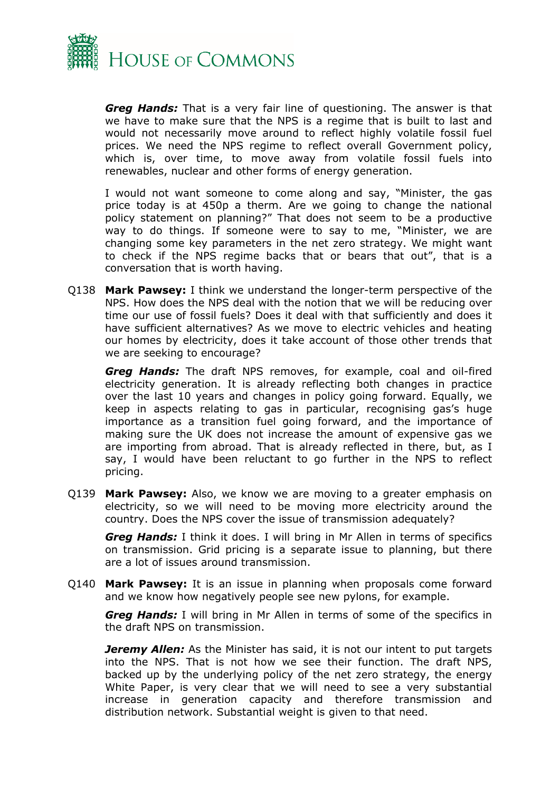

*Greg Hands:* That is a very fair line of questioning. The answer is that we have to make sure that the NPS is a regime that is built to last and would not necessarily move around to reflect highly volatile fossil fuel prices. We need the NPS regime to reflect overall Government policy, which is, over time, to move away from volatile fossil fuels into renewables, nuclear and other forms of energy generation.

I would not want someone to come along and say, "Minister, the gas price today is at 450p a therm. Are we going to change the national policy statement on planning?" That does not seem to be a productive way to do things. If someone were to say to me, "Minister, we are changing some key parameters in the net zero strategy. We might want to check if the NPS regime backs that or bears that out", that is a conversation that is worth having.

Q138 **Mark Pawsey:** I think we understand the longer-term perspective of the NPS. How does the NPS deal with the notion that we will be reducing over time our use of fossil fuels? Does it deal with that sufficiently and does it have sufficient alternatives? As we move to electric vehicles and heating our homes by electricity, does it take account of those other trends that we are seeking to encourage?

*Greg Hands:* The draft NPS removes, for example, coal and oil-fired electricity generation. It is already reflecting both changes in practice over the last 10 years and changes in policy going forward. Equally, we keep in aspects relating to gas in particular, recognising gas's huge importance as a transition fuel going forward, and the importance of making sure the UK does not increase the amount of expensive gas we are importing from abroad. That is already reflected in there, but, as I say, I would have been reluctant to go further in the NPS to reflect pricing.

Q139 **Mark Pawsey:** Also, we know we are moving to a greater emphasis on electricity, so we will need to be moving more electricity around the country. Does the NPS cover the issue of transmission adequately?

*Greg Hands:* I think it does. I will bring in Mr Allen in terms of specifics on transmission. Grid pricing is a separate issue to planning, but there are a lot of issues around transmission.

Q140 **Mark Pawsey:** It is an issue in planning when proposals come forward and we know how negatively people see new pylons, for example.

*Greg Hands:* I will bring in Mr Allen in terms of some of the specifics in the draft NPS on transmission.

*Jeremy Allen:* As the Minister has said, it is not our intent to put targets into the NPS. That is not how we see their function. The draft NPS, backed up by the underlying policy of the net zero strategy, the energy White Paper, is very clear that we will need to see a very substantial increase in generation capacity and therefore transmission and distribution network. Substantial weight is given to that need.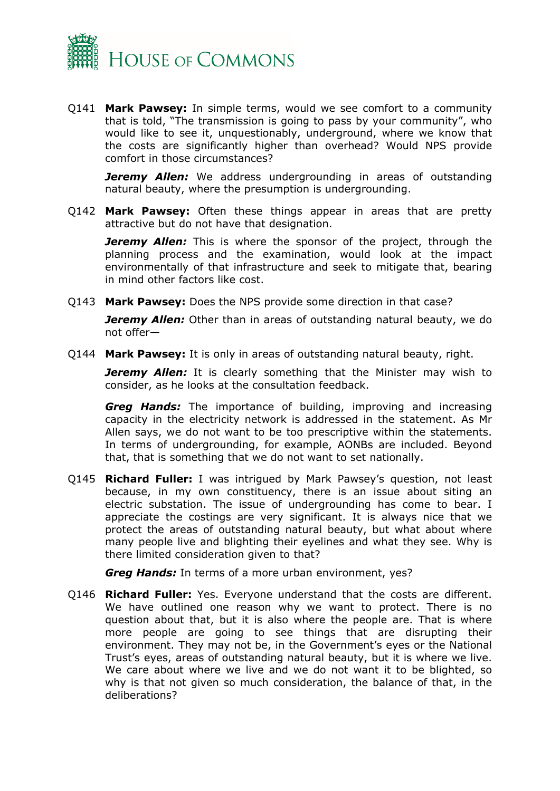

Q141 **Mark Pawsey:** In simple terms, would we see comfort to a community that is told, "The transmission is going to pass by your community", who would like to see it, unquestionably, underground, where we know that the costs are significantly higher than overhead? Would NPS provide comfort in those circumstances?

*Jeremy Allen:* We address undergrounding in areas of outstanding natural beauty, where the presumption is undergrounding.

Q142 **Mark Pawsey:** Often these things appear in areas that are pretty attractive but do not have that designation.

*Jeremy Allen:* This is where the sponsor of the project, through the planning process and the examination, would look at the impact environmentally of that infrastructure and seek to mitigate that, bearing in mind other factors like cost.

Q143 **Mark Pawsey:** Does the NPS provide some direction in that case?

*Jeremy Allen:* Other than in areas of outstanding natural beauty, we do not offer—

Q144 **Mark Pawsey:** It is only in areas of outstanding natural beauty, right.

*Jeremy Allen:* It is clearly something that the Minister may wish to consider, as he looks at the consultation feedback.

*Greg Hands:* The importance of building, improving and increasing capacity in the electricity network is addressed in the statement. As Mr Allen says, we do not want to be too prescriptive within the statements. In terms of undergrounding, for example, AONBs are included. Beyond that, that is something that we do not want to set nationally.

Q145 **Richard Fuller:** I was intrigued by Mark Pawsey's question, not least because, in my own constituency, there is an issue about siting an electric substation. The issue of undergrounding has come to bear. I appreciate the costings are very significant. It is always nice that we protect the areas of outstanding natural beauty, but what about where many people live and blighting their eyelines and what they see. Why is there limited consideration given to that?

*Greg Hands:* In terms of a more urban environment, yes?

Q146 **Richard Fuller:** Yes. Everyone understand that the costs are different. We have outlined one reason why we want to protect. There is no question about that, but it is also where the people are. That is where more people are going to see things that are disrupting their environment. They may not be, in the Government's eyes or the National Trust's eyes, areas of outstanding natural beauty, but it is where we live. We care about where we live and we do not want it to be blighted, so why is that not given so much consideration, the balance of that, in the deliberations?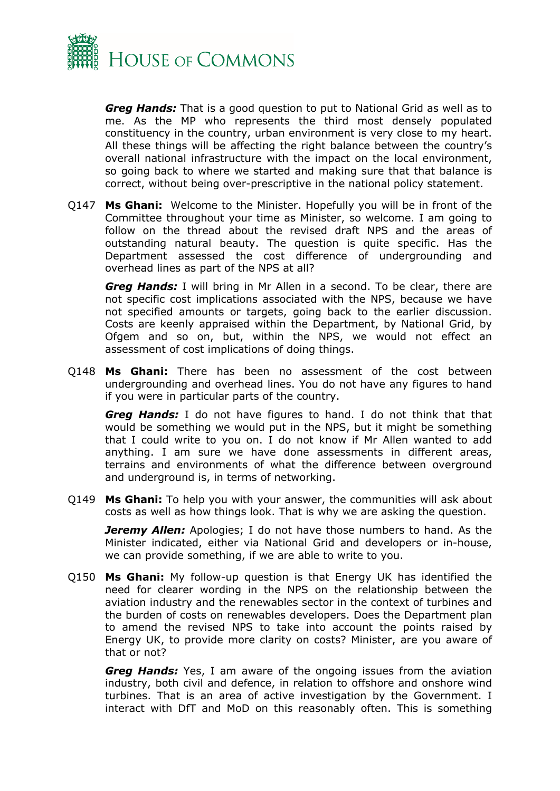

*Greg Hands:* That is a good question to put to National Grid as well as to me. As the MP who represents the third most densely populated constituency in the country, urban environment is very close to my heart. All these things will be affecting the right balance between the country's overall national infrastructure with the impact on the local environment, so going back to where we started and making sure that that balance is correct, without being over-prescriptive in the national policy statement.

Q147 **Ms Ghani:** Welcome to the Minister. Hopefully you will be in front of the Committee throughout your time as Minister, so welcome. I am going to follow on the thread about the revised draft NPS and the areas of outstanding natural beauty. The question is quite specific. Has the Department assessed the cost difference of undergrounding and overhead lines as part of the NPS at all?

*Greg Hands:* I will bring in Mr Allen in a second. To be clear, there are not specific cost implications associated with the NPS, because we have not specified amounts or targets, going back to the earlier discussion. Costs are keenly appraised within the Department, by National Grid, by Ofgem and so on, but, within the NPS, we would not effect an assessment of cost implications of doing things.

Q148 **Ms Ghani:** There has been no assessment of the cost between undergrounding and overhead lines. You do not have any figures to hand if you were in particular parts of the country.

*Greg Hands:* I do not have figures to hand. I do not think that that would be something we would put in the NPS, but it might be something that I could write to you on. I do not know if Mr Allen wanted to add anything. I am sure we have done assessments in different areas, terrains and environments of what the difference between overground and underground is, in terms of networking.

Q149 **Ms Ghani:** To help you with your answer, the communities will ask about costs as well as how things look. That is why we are asking the question.

*Jeremy Allen:* Apologies; I do not have those numbers to hand. As the Minister indicated, either via National Grid and developers or in-house, we can provide something, if we are able to write to you.

Q150 **Ms Ghani:** My follow-up question is that Energy UK has identified the need for clearer wording in the NPS on the relationship between the aviation industry and the renewables sector in the context of turbines and the burden of costs on renewables developers. Does the Department plan to amend the revised NPS to take into account the points raised by Energy UK, to provide more clarity on costs? Minister, are you aware of that or not?

*Greg Hands:* Yes, I am aware of the ongoing issues from the aviation industry, both civil and defence, in relation to offshore and onshore wind turbines. That is an area of active investigation by the Government. I interact with DfT and MoD on this reasonably often. This is something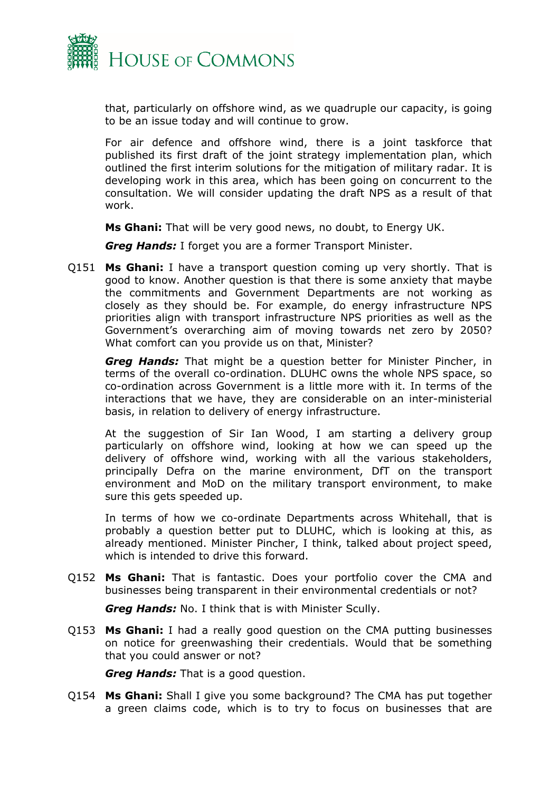

that, particularly on offshore wind, as we quadruple our capacity, is going to be an issue today and will continue to grow.

For air defence and offshore wind, there is a joint taskforce that published its first draft of the joint strategy implementation plan, which outlined the first interim solutions for the mitigation of military radar. It is developing work in this area, which has been going on concurrent to the consultation. We will consider updating the draft NPS as a result of that work.

**Ms Ghani:** That will be very good news, no doubt, to Energy UK.

*Greg Hands:* I forget you are a former Transport Minister.

Q151 **Ms Ghani:** I have a transport question coming up very shortly. That is good to know. Another question is that there is some anxiety that maybe the commitments and Government Departments are not working as closely as they should be. For example, do energy infrastructure NPS priorities align with transport infrastructure NPS priorities as well as the Government's overarching aim of moving towards net zero by 2050? What comfort can you provide us on that, Minister?

*Greg Hands:* That might be a question better for Minister Pincher, in terms of the overall co-ordination. DLUHC owns the whole NPS space, so co-ordination across Government is a little more with it. In terms of the interactions that we have, they are considerable on an inter-ministerial basis, in relation to delivery of energy infrastructure.

At the suggestion of Sir Ian Wood, I am starting a delivery group particularly on offshore wind, looking at how we can speed up the delivery of offshore wind, working with all the various stakeholders, principally Defra on the marine environment, DfT on the transport environment and MoD on the military transport environment, to make sure this gets speeded up.

In terms of how we co-ordinate Departments across Whitehall, that is probably a question better put to DLUHC, which is looking at this, as already mentioned. Minister Pincher, I think, talked about project speed, which is intended to drive this forward.

Q152 **Ms Ghani:** That is fantastic. Does your portfolio cover the CMA and businesses being transparent in their environmental credentials or not?

*Greg Hands:* No. I think that is with Minister Scully.

Q153 **Ms Ghani:** I had a really good question on the CMA putting businesses on notice for greenwashing their credentials. Would that be something that you could answer or not?

*Greg Hands:* That is a good question.

Q154 **Ms Ghani:** Shall I give you some background? The CMA has put together a green claims code, which is to try to focus on businesses that are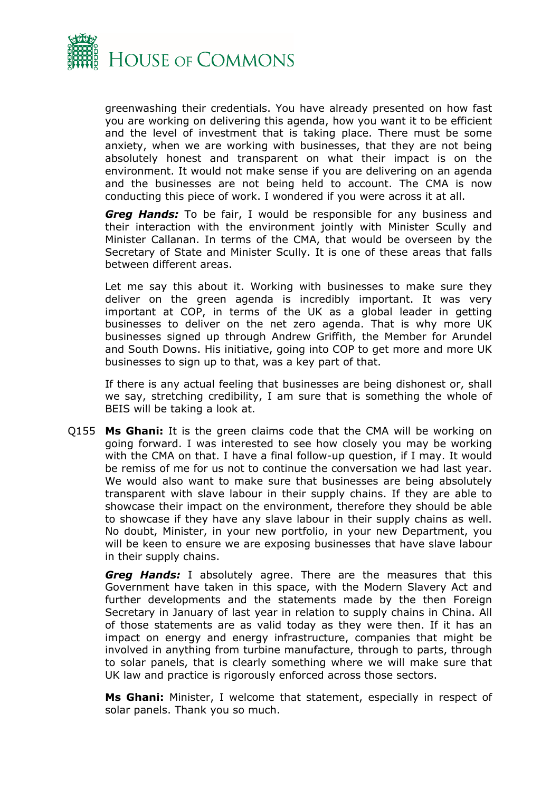

greenwashing their credentials. You have already presented on how fast you are working on delivering this agenda, how you want it to be efficient and the level of investment that is taking place. There must be some anxiety, when we are working with businesses, that they are not being absolutely honest and transparent on what their impact is on the environment. It would not make sense if you are delivering on an agenda and the businesses are not being held to account. The CMA is now conducting this piece of work. I wondered if you were across it at all.

*Greg Hands:* To be fair, I would be responsible for any business and their interaction with the environment jointly with Minister Scully and Minister Callanan. In terms of the CMA, that would be overseen by the Secretary of State and Minister Scully. It is one of these areas that falls between different areas.

Let me say this about it. Working with businesses to make sure they deliver on the green agenda is incredibly important. It was very important at COP, in terms of the UK as a global leader in getting businesses to deliver on the net zero agenda. That is why more UK businesses signed up through Andrew Griffith, the Member for Arundel and South Downs. His initiative, going into COP to get more and more UK businesses to sign up to that, was a key part of that.

If there is any actual feeling that businesses are being dishonest or, shall we say, stretching credibility, I am sure that is something the whole of BEIS will be taking a look at.

Q155 **Ms Ghani:** It is the green claims code that the CMA will be working on going forward. I was interested to see how closely you may be working with the CMA on that. I have a final follow-up question, if I may. It would be remiss of me for us not to continue the conversation we had last year. We would also want to make sure that businesses are being absolutely transparent with slave labour in their supply chains. If they are able to showcase their impact on the environment, therefore they should be able to showcase if they have any slave labour in their supply chains as well. No doubt, Minister, in your new portfolio, in your new Department, you will be keen to ensure we are exposing businesses that have slave labour in their supply chains.

*Greg Hands:* I absolutely agree. There are the measures that this Government have taken in this space, with the Modern Slavery Act and further developments and the statements made by the then Foreign Secretary in January of last year in relation to supply chains in China. All of those statements are as valid today as they were then. If it has an impact on energy and energy infrastructure, companies that might be involved in anything from turbine manufacture, through to parts, through to solar panels, that is clearly something where we will make sure that UK law and practice is rigorously enforced across those sectors.

**Ms Ghani:** Minister, I welcome that statement, especially in respect of solar panels. Thank you so much.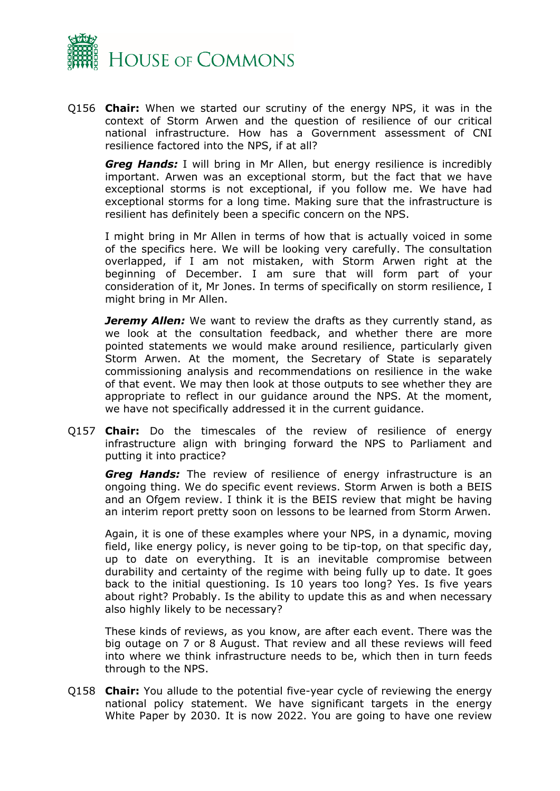

Q156 **Chair:** When we started our scrutiny of the energy NPS, it was in the context of Storm Arwen and the question of resilience of our critical national infrastructure. How has a Government assessment of CNI resilience factored into the NPS, if at all?

*Greg Hands:* I will bring in Mr Allen, but energy resilience is incredibly important. Arwen was an exceptional storm, but the fact that we have exceptional storms is not exceptional, if you follow me. We have had exceptional storms for a long time. Making sure that the infrastructure is resilient has definitely been a specific concern on the NPS.

I might bring in Mr Allen in terms of how that is actually voiced in some of the specifics here. We will be looking very carefully. The consultation overlapped, if I am not mistaken, with Storm Arwen right at the beginning of December. I am sure that will form part of your consideration of it, Mr Jones. In terms of specifically on storm resilience, I might bring in Mr Allen.

*Jeremy Allen:* We want to review the drafts as they currently stand, as we look at the consultation feedback, and whether there are more pointed statements we would make around resilience, particularly given Storm Arwen. At the moment, the Secretary of State is separately commissioning analysis and recommendations on resilience in the wake of that event. We may then look at those outputs to see whether they are appropriate to reflect in our guidance around the NPS. At the moment, we have not specifically addressed it in the current guidance.

Q157 **Chair:** Do the timescales of the review of resilience of energy infrastructure align with bringing forward the NPS to Parliament and putting it into practice?

*Greg Hands:* The review of resilience of energy infrastructure is an ongoing thing. We do specific event reviews. Storm Arwen is both a BEIS and an Ofgem review. I think it is the BEIS review that might be having an interim report pretty soon on lessons to be learned from Storm Arwen.

Again, it is one of these examples where your NPS, in a dynamic, moving field, like energy policy, is never going to be tip-top, on that specific day, up to date on everything. It is an inevitable compromise between durability and certainty of the regime with being fully up to date. It goes back to the initial questioning. Is 10 years too long? Yes. Is five years about right? Probably. Is the ability to update this as and when necessary also highly likely to be necessary?

These kinds of reviews, as you know, are after each event. There was the big outage on 7 or 8 August. That review and all these reviews will feed into where we think infrastructure needs to be, which then in turn feeds through to the NPS.

Q158 **Chair:** You allude to the potential five-year cycle of reviewing the energy national policy statement. We have significant targets in the energy White Paper by 2030. It is now 2022. You are going to have one review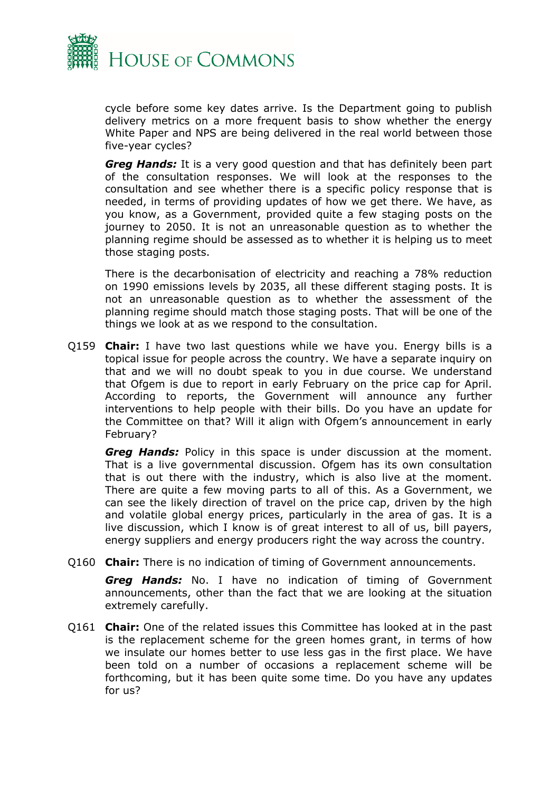

cycle before some key dates arrive. Is the Department going to publish delivery metrics on a more frequent basis to show whether the energy White Paper and NPS are being delivered in the real world between those five-year cycles?

*Greg Hands:* It is a very good question and that has definitely been part of the consultation responses. We will look at the responses to the consultation and see whether there is a specific policy response that is needed, in terms of providing updates of how we get there. We have, as you know, as a Government, provided quite a few staging posts on the journey to 2050. It is not an unreasonable question as to whether the planning regime should be assessed as to whether it is helping us to meet those staging posts.

There is the decarbonisation of electricity and reaching a 78% reduction on 1990 emissions levels by 2035, all these different staging posts. It is not an unreasonable question as to whether the assessment of the planning regime should match those staging posts. That will be one of the things we look at as we respond to the consultation.

Q159 **Chair:** I have two last questions while we have you. Energy bills is a topical issue for people across the country. We have a separate inquiry on that and we will no doubt speak to you in due course. We understand that Ofgem is due to report in early February on the price cap for April. According to reports, the Government will announce any further interventions to help people with their bills. Do you have an update for the Committee on that? Will it align with Ofgem's announcement in early February?

*Greg Hands:* Policy in this space is under discussion at the moment. That is a live governmental discussion. Ofgem has its own consultation that is out there with the industry, which is also live at the moment. There are quite a few moving parts to all of this. As a Government, we can see the likely direction of travel on the price cap, driven by the high and volatile global energy prices, particularly in the area of gas. It is a live discussion, which I know is of great interest to all of us, bill payers, energy suppliers and energy producers right the way across the country.

Q160 **Chair:** There is no indication of timing of Government announcements.

*Greg Hands:* No. I have no indication of timing of Government announcements, other than the fact that we are looking at the situation extremely carefully.

Q161 **Chair:** One of the related issues this Committee has looked at in the past is the replacement scheme for the green homes grant, in terms of how we insulate our homes better to use less gas in the first place. We have been told on a number of occasions a replacement scheme will be forthcoming, but it has been quite some time. Do you have any updates for us?